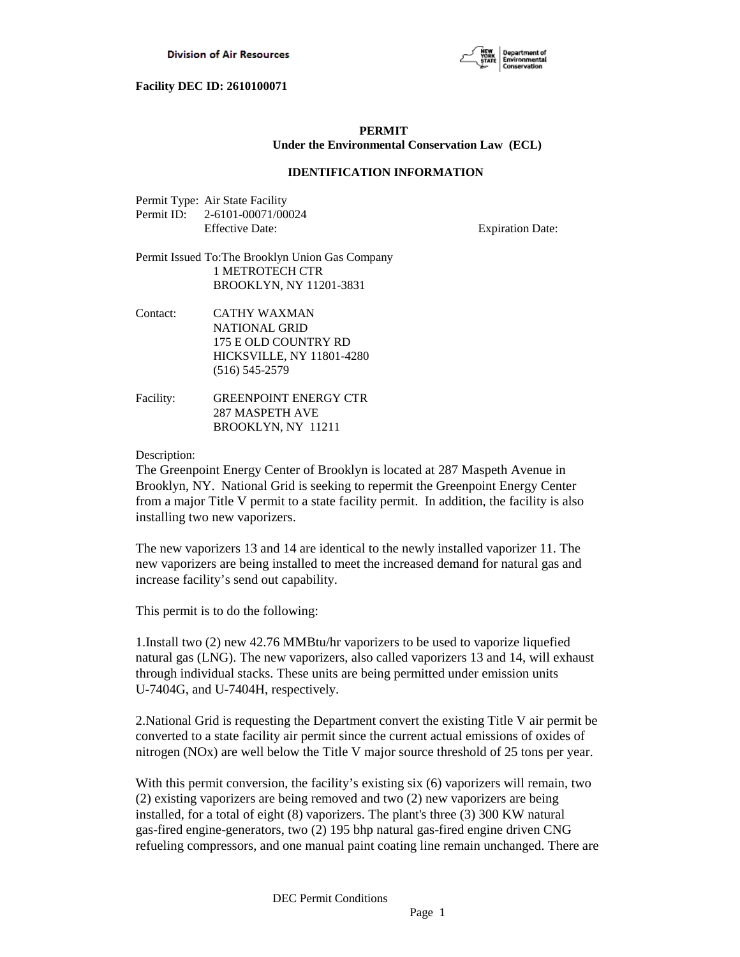

# **PERMIT Under the Environmental Conservation Law (ECL)**

# **IDENTIFICATION INFORMATION**

| Permit Type: Air State Facility |
|---------------------------------|
| Permit ID: 2-6101-00071/00024   |
| <b>Effective Date:</b>          |

**Expiration Date:** 

- Permit Issued To:The Brooklyn Union Gas Company 1 METROTECH CTR BROOKLYN, NY 11201-3831
- Contact: CATHY WAXMAN NATIONAL GRID 175 E OLD COUNTRY RD HICKSVILLE, NY 11801-4280 (516) 545-2579
- Facility: GREENPOINT ENERGY CTR 287 MASPETH AVE BROOKLYN, NY 11211

Description:

The Greenpoint Energy Center of Brooklyn is located at 287 Maspeth Avenue in Brooklyn, NY. National Grid is seeking to repermit the Greenpoint Energy Center from a major Title V permit to a state facility permit. In addition, the facility is also installing two new vaporizers.

The new vaporizers 13 and 14 are identical to the newly installed vaporizer 11. The new vaporizers are being installed to meet the increased demand for natural gas and increase facility's send out capability.

This permit is to do the following:

1.Install two (2) new 42.76 MMBtu/hr vaporizers to be used to vaporize liquefied natural gas (LNG). The new vaporizers, also called vaporizers 13 and 14, will exhaust through individual stacks. These units are being permitted under emission units U-7404G, and U-7404H, respectively.

2.National Grid is requesting the Department convert the existing Title V air permit be converted to a state facility air permit since the current actual emissions of oxides of nitrogen (NOx) are well below the Title V major source threshold of 25 tons per year.

With this permit conversion, the facility's existing six (6) vaporizers will remain, two (2) existing vaporizers are being removed and two (2) new vaporizers are being installed, for a total of eight (8) vaporizers. The plant's three (3) 300 KW natural gas-fired engine-generators, two (2) 195 bhp natural gas-fired engine driven CNG refueling compressors, and one manual paint coating line remain unchanged. There are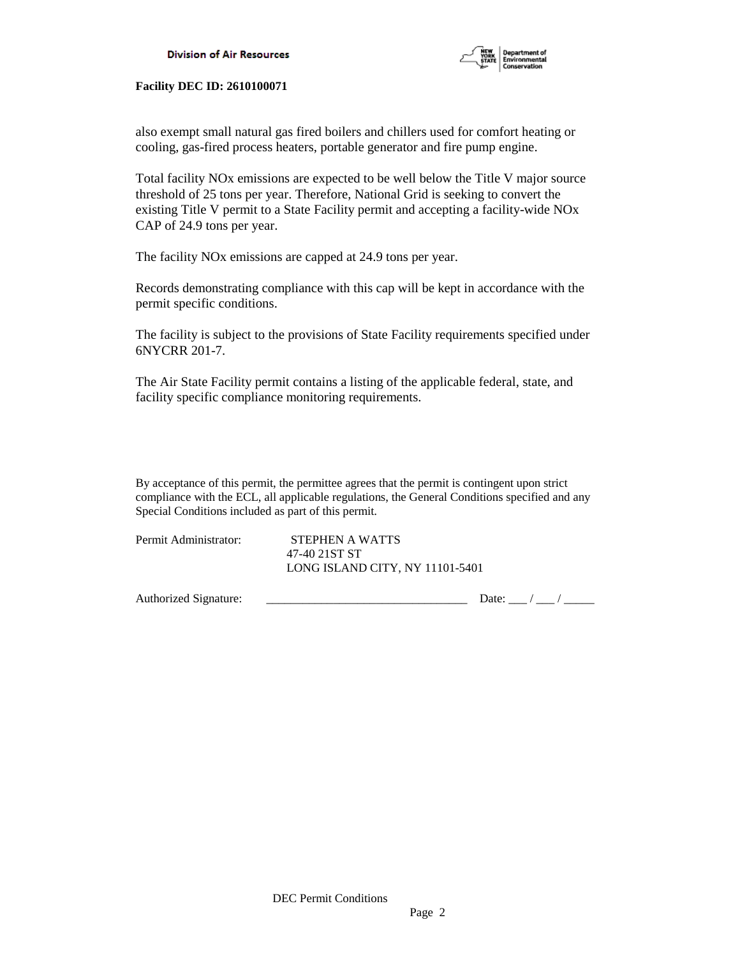

also exempt small natural gas fired boilers and chillers used for comfort heating or cooling, gas-fired process heaters, portable generator and fire pump engine.

Total facility NOx emissions are expected to be well below the Title V major source threshold of 25 tons per year. Therefore, National Grid is seeking to convert the existing Title V permit to a State Facility permit and accepting a facility-wide NOx CAP of 24.9 tons per year.

The facility NOx emissions are capped at 24.9 tons per year.

Records demonstrating compliance with this cap will be kept in accordance with the permit specific conditions.

The facility is subject to the provisions of State Facility requirements specified under 6NYCRR 201-7.

The Air State Facility permit contains a listing of the applicable federal, state, and facility specific compliance monitoring requirements.

By acceptance of this permit, the permittee agrees that the permit is contingent upon strict compliance with the ECL, all applicable regulations, the General Conditions specified and any Special Conditions included as part of this permit.

| Permit Administrator: | STEPHEN A WATTS                 |
|-----------------------|---------------------------------|
|                       | 47-40 21ST ST                   |
|                       | LONG ISLAND CITY, NY 11101-5401 |

Authorized Signature: \_\_\_\_\_\_\_\_\_\_\_\_\_\_\_\_\_\_\_\_\_\_\_\_\_\_\_\_\_\_\_\_\_ Date: \_\_\_ / \_\_\_ / \_\_\_\_\_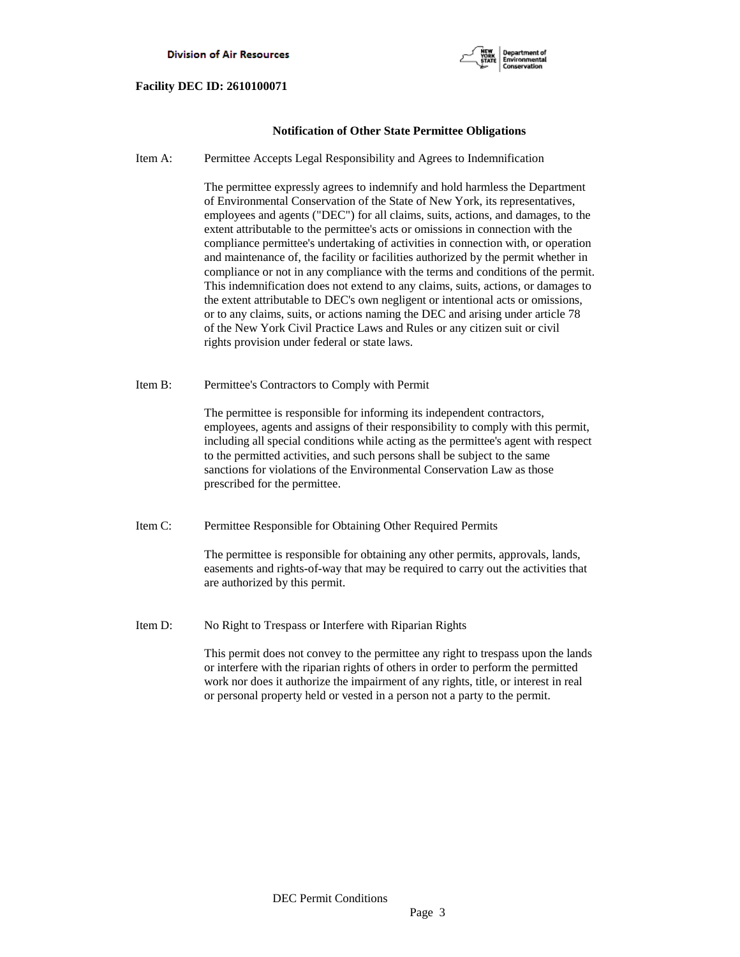

# **Notification of Other State Permittee Obligations**

Item A: Permittee Accepts Legal Responsibility and Agrees to Indemnification

 The permittee expressly agrees to indemnify and hold harmless the Department of Environmental Conservation of the State of New York, its representatives, employees and agents ("DEC") for all claims, suits, actions, and damages, to the extent attributable to the permittee's acts or omissions in connection with the compliance permittee's undertaking of activities in connection with, or operation and maintenance of, the facility or facilities authorized by the permit whether in compliance or not in any compliance with the terms and conditions of the permit. This indemnification does not extend to any claims, suits, actions, or damages to the extent attributable to DEC's own negligent or intentional acts or omissions, or to any claims, suits, or actions naming the DEC and arising under article 78 of the New York Civil Practice Laws and Rules or any citizen suit or civil rights provision under federal or state laws.

Item B: Permittee's Contractors to Comply with Permit

 The permittee is responsible for informing its independent contractors, employees, agents and assigns of their responsibility to comply with this permit, including all special conditions while acting as the permittee's agent with respect to the permitted activities, and such persons shall be subject to the same sanctions for violations of the Environmental Conservation Law as those prescribed for the permittee.

Item C: Permittee Responsible for Obtaining Other Required Permits

 The permittee is responsible for obtaining any other permits, approvals, lands, easements and rights-of-way that may be required to carry out the activities that are authorized by this permit.

Item D: No Right to Trespass or Interfere with Riparian Rights

 This permit does not convey to the permittee any right to trespass upon the lands or interfere with the riparian rights of others in order to perform the permitted work nor does it authorize the impairment of any rights, title, or interest in real or personal property held or vested in a person not a party to the permit.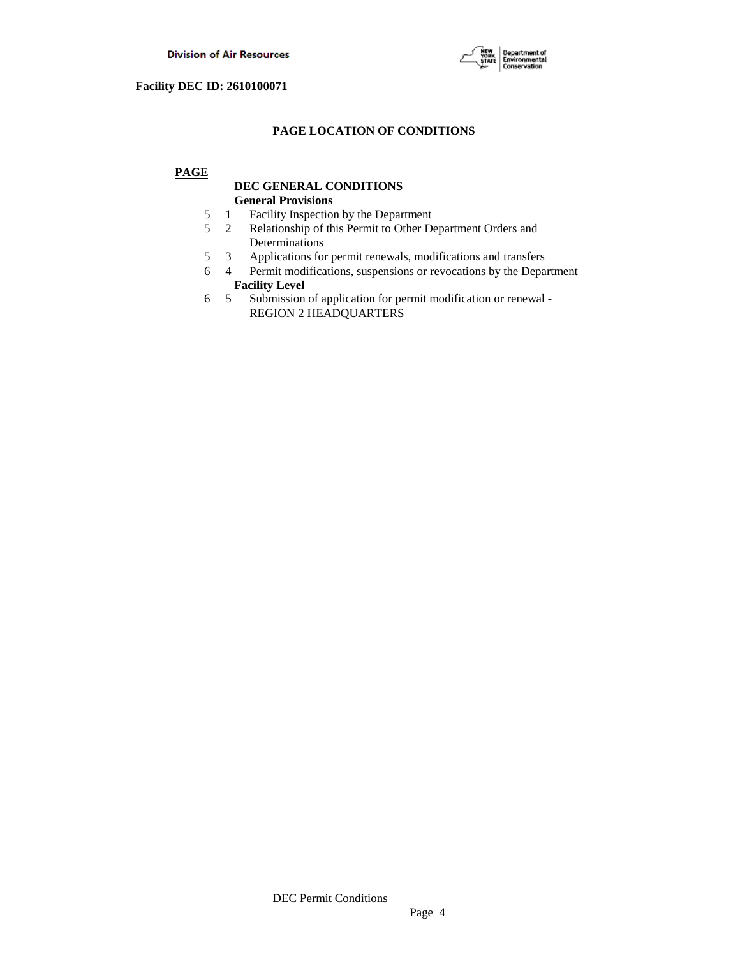

# **PAGE LOCATION OF CONDITIONS**

# **PAGE**

# **DEC GENERAL CONDITIONS General Provisions**

- 5 1 Facility Inspection by the Department
- 5 2 Relationship of this Permit to Other Department Orders and Determinations
- 5 3 Applications for permit renewals, modifications and transfers
- 6 4 Permit modifications, suspensions or revocations by the Department
- **Facility Level**<br>6 5 Submission Submission of application for permit modification or renewal -REGION 2 HEADQUARTERS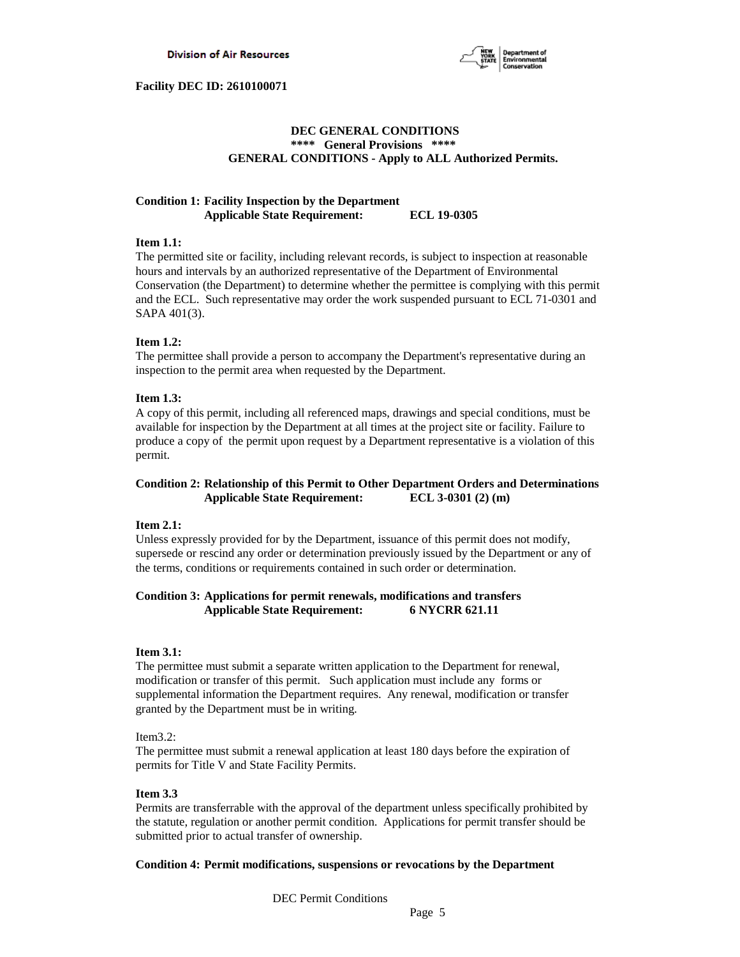

# **DEC GENERAL CONDITIONS \*\*\*\* General Provisions \*\*\*\* GENERAL CONDITIONS - Apply to ALL Authorized Permits.**

# **Condition 1: Facility Inspection by the Department Applicable State Requirement: ECL 19-0305**

# **Item 1.1:**

The permitted site or facility, including relevant records, is subject to inspection at reasonable hours and intervals by an authorized representative of the Department of Environmental Conservation (the Department) to determine whether the permittee is complying with this permit and the ECL. Such representative may order the work suspended pursuant to ECL 71-0301 and SAPA 401(3).

# **Item 1.2:**

The permittee shall provide a person to accompany the Department's representative during an inspection to the permit area when requested by the Department.

# **Item 1.3:**

A copy of this permit, including all referenced maps, drawings and special conditions, must be available for inspection by the Department at all times at the project site or facility. Failure to produce a copy of the permit upon request by a Department representative is a violation of this permit.

# **Condition 2: Relationship of this Permit to Other Department Orders and Determinations Applicable State Requirement: ECL 3-0301 (2) (m)**

# **Item 2.1:**

Unless expressly provided for by the Department, issuance of this permit does not modify, supersede or rescind any order or determination previously issued by the Department or any of the terms, conditions or requirements contained in such order or determination.

# **Condition 3: Applications for permit renewals, modifications and transfers Applicable State Requirement: 6 NYCRR 621.11**

### **Item 3.1:**

The permittee must submit a separate written application to the Department for renewal, modification or transfer of this permit. Such application must include any forms or supplemental information the Department requires. Any renewal, modification or transfer granted by the Department must be in writing.

# Item3.2:

The permittee must submit a renewal application at least 180 days before the expiration of permits for Title V and State Facility Permits.

#### **Item 3.3**

Permits are transferrable with the approval of the department unless specifically prohibited by the statute, regulation or another permit condition. Applications for permit transfer should be submitted prior to actual transfer of ownership.

# **Condition 4: Permit modifications, suspensions or revocations by the Department**

DEC Permit Conditions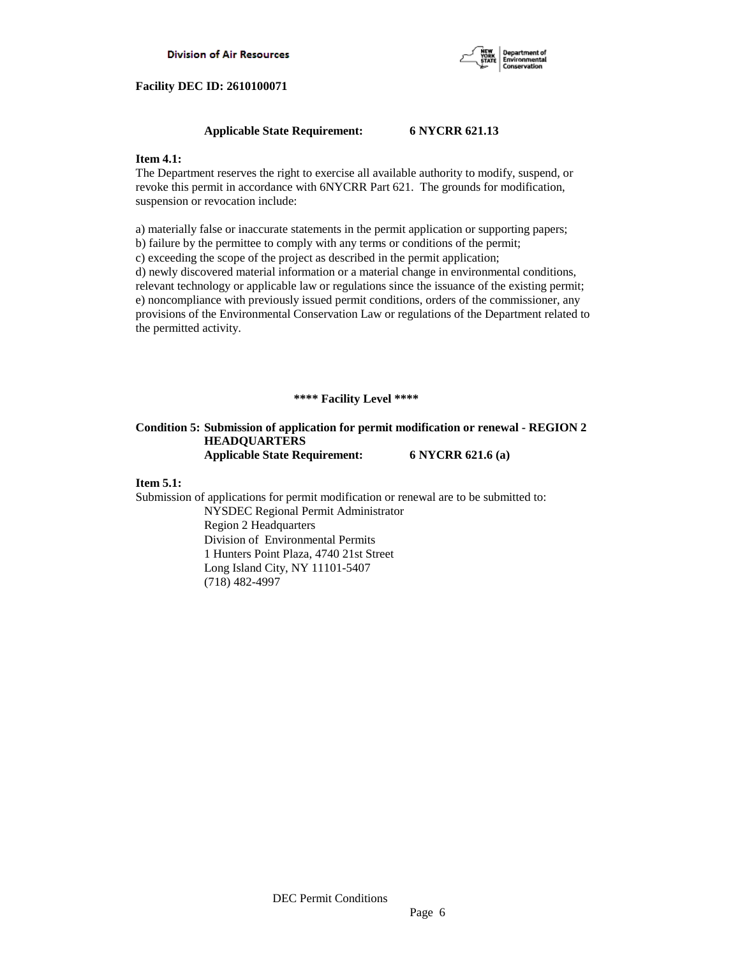

## **Applicable State Requirement: 6 NYCRR 621.13**

### **Item 4.1:**

The Department reserves the right to exercise all available authority to modify, suspend, or revoke this permit in accordance with 6NYCRR Part 621. The grounds for modification, suspension or revocation include:

a) materially false or inaccurate statements in the permit application or supporting papers; b) failure by the permittee to comply with any terms or conditions of the permit; c) exceeding the scope of the project as described in the permit application;

d) newly discovered material information or a material change in environmental conditions, relevant technology or applicable law or regulations since the issuance of the existing permit; e) noncompliance with previously issued permit conditions, orders of the commissioner, any provisions of the Environmental Conservation Law or regulations of the Department related to the permitted activity.

# **\*\*\*\* Facility Level \*\*\*\***

# **Condition 5: Submission of application for permit modification or renewal - REGION 2 HEADQUARTERS Applicable State Requirement: 6 NYCRR 621.6 (a)**

#### **Item 5.1:**

Submission of applications for permit modification or renewal are to be submitted to: NYSDEC Regional Permit Administrator Region 2 Headquarters Division of Environmental Permits

 1 Hunters Point Plaza, 4740 21st Street Long Island City, NY 11101-5407 (718) 482-4997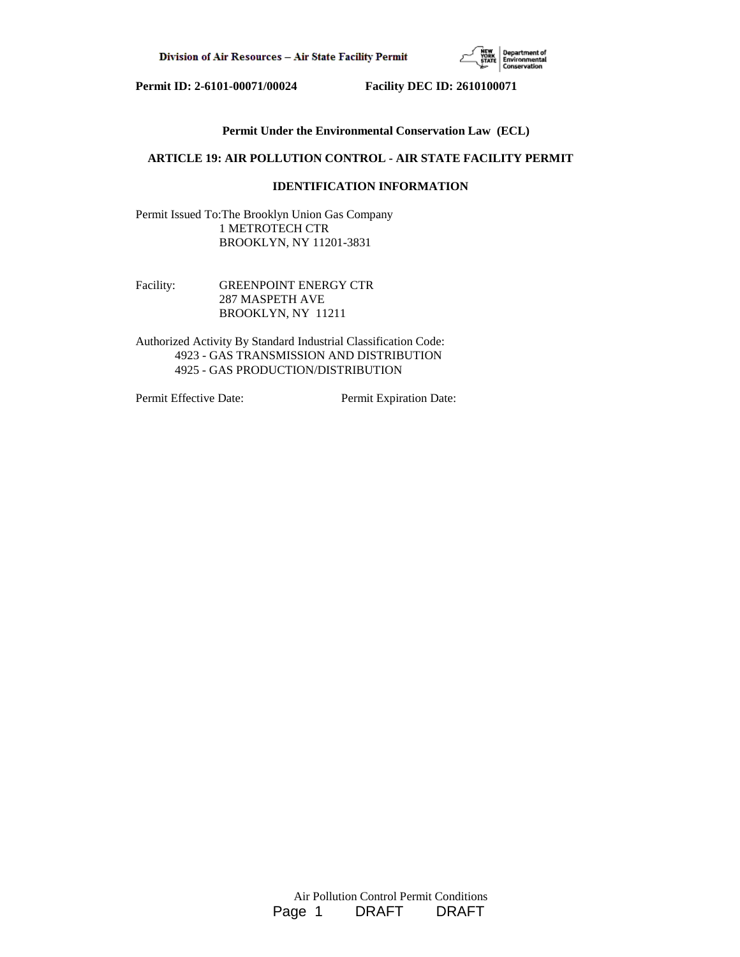

# **Permit Under the Environmental Conservation Law (ECL)**

# **ARTICLE 19: AIR POLLUTION CONTROL - AIR STATE FACILITY PERMIT**

# **IDENTIFICATION INFORMATION**

Permit Issued To:The Brooklyn Union Gas Company 1 METROTECH CTR BROOKLYN, NY 11201-3831

Facility: **GREENPOINT ENERGY CTR**  287 MASPETH AVE BROOKLYN, NY 11211

Authorized Activity By Standard Industrial Classification Code: 4923 - GAS TRANSMISSION AND DISTRIBUTION 4925 - GAS PRODUCTION/DISTRIBUTION

Permit Effective Date: Permit Expiration Date: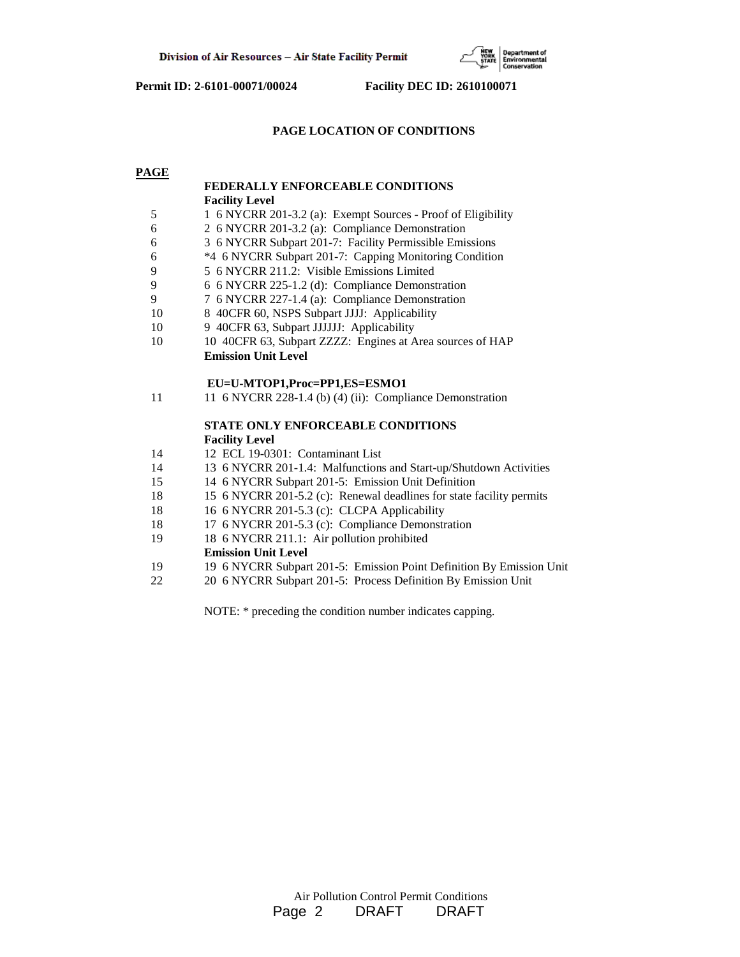

# **PAGE LOCATION OF CONDITIONS**

**PAGE**

|    | FEDERALLY ENFORCEABLE CONDITIONS                                     |
|----|----------------------------------------------------------------------|
|    | <b>Facility Level</b>                                                |
| 5  | 1 6 NYCRR 201-3.2 (a): Exempt Sources - Proof of Eligibility         |
| 6  | 2 6 NYCRR 201-3.2 (a): Compliance Demonstration                      |
| 6  | 3 6 NYCRR Subpart 201-7: Facility Permissible Emissions              |
| 6  | *4 6 NYCRR Subpart 201-7: Capping Monitoring Condition               |
| 9  | 5 6 NYCRR 211.2: Visible Emissions Limited                           |
| 9  | 6 6 NYCRR 225-1.2 (d): Compliance Demonstration                      |
| 9  | 7 6 NYCRR 227-1.4 (a): Compliance Demonstration                      |
| 10 | 8 40CFR 60, NSPS Subpart JJJJ: Applicability                         |
| 10 | 9 40CFR 63, Subpart JJJJJJ: Applicability                            |
| 10 | 10 40CFR 63, Subpart ZZZZ: Engines at Area sources of HAP            |
|    | <b>Emission Unit Level</b>                                           |
|    | EU=U-MTOP1,Proc=PP1,ES=ESMO1                                         |
| 11 | 11 6 NYCRR 228-1.4 (b) (4) (ii): Compliance Demonstration            |
|    | <b>STATE ONLY ENFORCEABLE CONDITIONS</b>                             |
|    | <b>Facility Level</b>                                                |
| 14 | 12 ECL 19-0301: Contaminant List                                     |
| 14 | 13 6 NYCRR 201-1.4: Malfunctions and Start-up/Shutdown Activities    |
| 15 | 14 6 NYCRR Subpart 201-5: Emission Unit Definition                   |
| 18 | 15 6 NYCRR 201-5.2 (c): Renewal deadlines for state facility permits |
| 18 | 16 6 NYCRR 201-5.3 (c): CLCPA Applicability                          |
| 18 | 17 6 NYCRR 201-5.3 (c): Compliance Demonstration                     |
| 19 | 18 6 NYCRR 211.1: Air pollution prohibited                           |
|    | <b>Emission Unit Level</b>                                           |
| 19 | 19 6 NYCRR Subpart 201-5: Emission Point Definition By Emission Unit |
| 22 | 20 6 NYCRR Subpart 201-5: Process Definition By Emission Unit        |

NOTE: \* preceding the condition number indicates capping.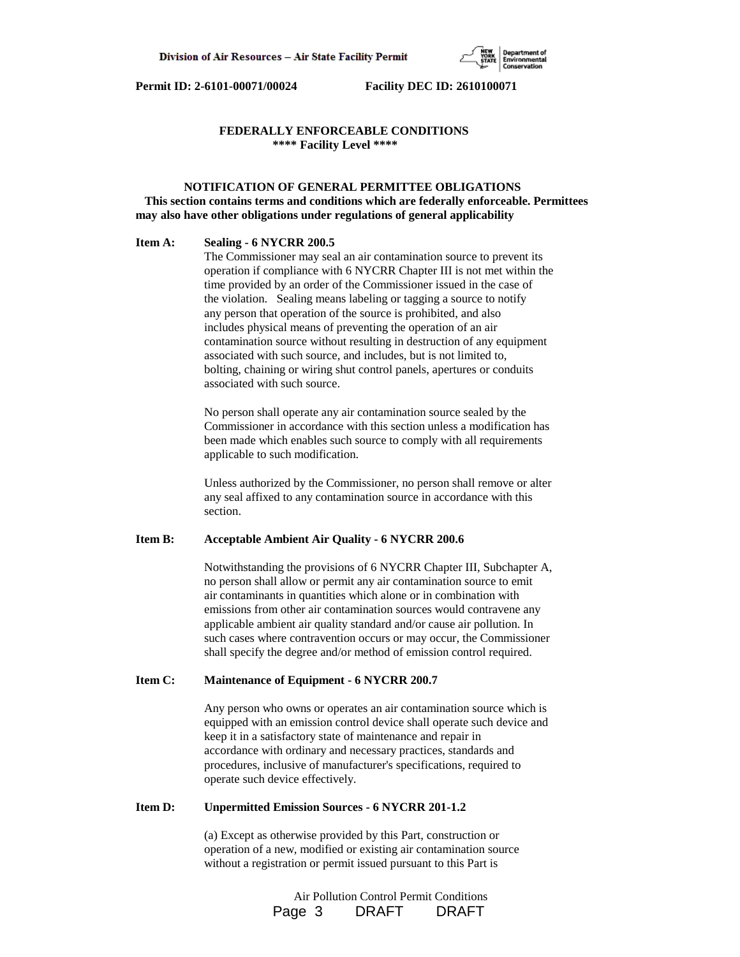

### **FEDERALLY ENFORCEABLE CONDITIONS \*\*\*\* Facility Level \*\*\*\***

# **NOTIFICATION OF GENERAL PERMITTEE OBLIGATIONS This section contains terms and conditions which are federally enforceable. Permittees may also have other obligations under regulations of general applicability**

#### **Item A: Sealing - 6 NYCRR 200.5**

 The Commissioner may seal an air contamination source to prevent its operation if compliance with 6 NYCRR Chapter III is not met within the time provided by an order of the Commissioner issued in the case of the violation. Sealing means labeling or tagging a source to notify any person that operation of the source is prohibited, and also includes physical means of preventing the operation of an air contamination source without resulting in destruction of any equipment associated with such source, and includes, but is not limited to, bolting, chaining or wiring shut control panels, apertures or conduits associated with such source.

 No person shall operate any air contamination source sealed by the Commissioner in accordance with this section unless a modification has been made which enables such source to comply with all requirements applicable to such modification.

 Unless authorized by the Commissioner, no person shall remove or alter any seal affixed to any contamination source in accordance with this section.

# **Item B: Acceptable Ambient Air Quality - 6 NYCRR 200.6**

 Notwithstanding the provisions of 6 NYCRR Chapter III, Subchapter A, no person shall allow or permit any air contamination source to emit air contaminants in quantities which alone or in combination with emissions from other air contamination sources would contravene any applicable ambient air quality standard and/or cause air pollution. In such cases where contravention occurs or may occur, the Commissioner shall specify the degree and/or method of emission control required.

#### **Item C: Maintenance of Equipment - 6 NYCRR 200.7**

 Any person who owns or operates an air contamination source which is equipped with an emission control device shall operate such device and keep it in a satisfactory state of maintenance and repair in accordance with ordinary and necessary practices, standards and procedures, inclusive of manufacturer's specifications, required to operate such device effectively.

#### **Item D: Unpermitted Emission Sources - 6 NYCRR 201-1.2**

 (a) Except as otherwise provided by this Part, construction or operation of a new, modified or existing air contamination source without a registration or permit issued pursuant to this Part is

> Air Pollution Control Permit Conditions Page 3 DRAFT DRAFT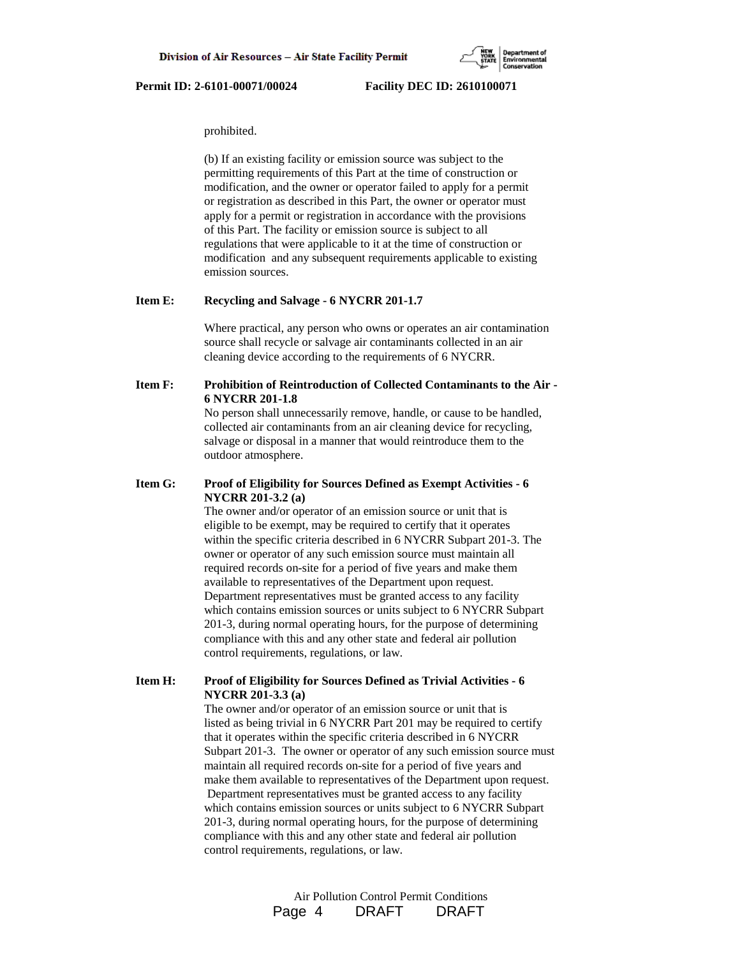prohibited.

 (b) If an existing facility or emission source was subject to the permitting requirements of this Part at the time of construction or modification, and the owner or operator failed to apply for a permit or registration as described in this Part, the owner or operator must apply for a permit or registration in accordance with the provisions of this Part. The facility or emission source is subject to all regulations that were applicable to it at the time of construction or modification and any subsequent requirements applicable to existing emission sources.

# **Item E: Recycling and Salvage - 6 NYCRR 201-1.7**

 Where practical, any person who owns or operates an air contamination source shall recycle or salvage air contaminants collected in an air cleaning device according to the requirements of 6 NYCRR.

# **Item F: Prohibition of Reintroduction of Collected Contaminants to the Air - 6 NYCRR 201-1.8**

 No person shall unnecessarily remove, handle, or cause to be handled, collected air contaminants from an air cleaning device for recycling, salvage or disposal in a manner that would reintroduce them to the outdoor atmosphere.

# **Item G: Proof of Eligibility for Sources Defined as Exempt Activities - 6 NYCRR 201-3.2 (a)**

 The owner and/or operator of an emission source or unit that is eligible to be exempt, may be required to certify that it operates within the specific criteria described in 6 NYCRR Subpart 201-3. The owner or operator of any such emission source must maintain all required records on-site for a period of five years and make them available to representatives of the Department upon request. Department representatives must be granted access to any facility which contains emission sources or units subject to 6 NYCRR Subpart 201-3, during normal operating hours, for the purpose of determining compliance with this and any other state and federal air pollution control requirements, regulations, or law.

# **Item H: Proof of Eligibility for Sources Defined as Trivial Activities - 6 NYCRR 201-3.3 (a)**

 The owner and/or operator of an emission source or unit that is listed as being trivial in 6 NYCRR Part 201 may be required to certify that it operates within the specific criteria described in 6 NYCRR Subpart 201-3. The owner or operator of any such emission source must maintain all required records on-site for a period of five years and make them available to representatives of the Department upon request. Department representatives must be granted access to any facility which contains emission sources or units subject to 6 NYCRR Subpart 201-3, during normal operating hours, for the purpose of determining compliance with this and any other state and federal air pollution control requirements, regulations, or law.

> Air Pollution Control Permit Conditions Page 4 DRAFT DRAFT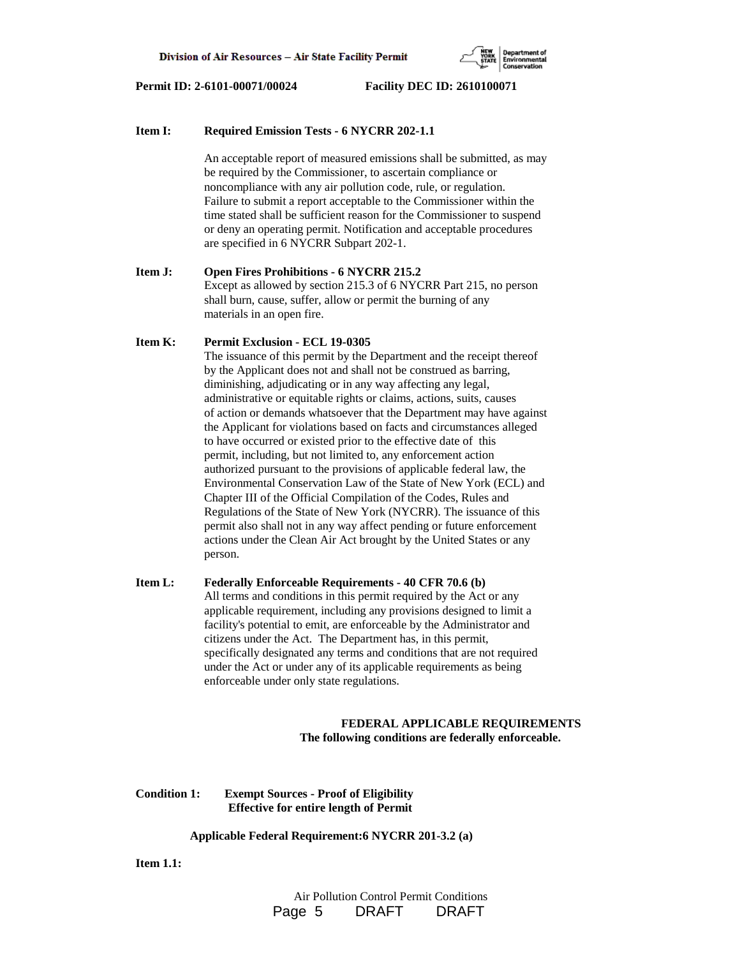

#### **Item I: Required Emission Tests - 6 NYCRR 202-1.1**

 An acceptable report of measured emissions shall be submitted, as may be required by the Commissioner, to ascertain compliance or noncompliance with any air pollution code, rule, or regulation. Failure to submit a report acceptable to the Commissioner within the time stated shall be sufficient reason for the Commissioner to suspend or deny an operating permit. Notification and acceptable procedures are specified in 6 NYCRR Subpart 202-1.

# **Item J: Open Fires Prohibitions - 6 NYCRR 215.2** Except as allowed by section 215.3 of 6 NYCRR Part 215, no person shall burn, cause, suffer, allow or permit the burning of any materials in an open fire.

#### **Item K: Permit Exclusion - ECL 19-0305**

 The issuance of this permit by the Department and the receipt thereof by the Applicant does not and shall not be construed as barring, diminishing, adjudicating or in any way affecting any legal, administrative or equitable rights or claims, actions, suits, causes of action or demands whatsoever that the Department may have against the Applicant for violations based on facts and circumstances alleged to have occurred or existed prior to the effective date of this permit, including, but not limited to, any enforcement action authorized pursuant to the provisions of applicable federal law, the Environmental Conservation Law of the State of New York (ECL) and Chapter III of the Official Compilation of the Codes, Rules and Regulations of the State of New York (NYCRR). The issuance of this permit also shall not in any way affect pending or future enforcement actions under the Clean Air Act brought by the United States or any person.

# **Item L: Federally Enforceable Requirements - 40 CFR 70.6 (b)** All terms and conditions in this permit required by the Act or any applicable requirement, including any provisions designed to limit a facility's potential to emit, are enforceable by the Administrator and citizens under the Act. The Department has, in this permit, specifically designated any terms and conditions that are not required under the Act or under any of its applicable requirements as being enforceable under only state regulations.

## **FEDERAL APPLICABLE REQUIREMENTS The following conditions are federally enforceable.**

# **Condition 1: Exempt Sources - Proof of Eligibility Effective for entire length of Permit**

#### **Applicable Federal Requirement:6 NYCRR 201-3.2 (a)**

**Item 1.1:**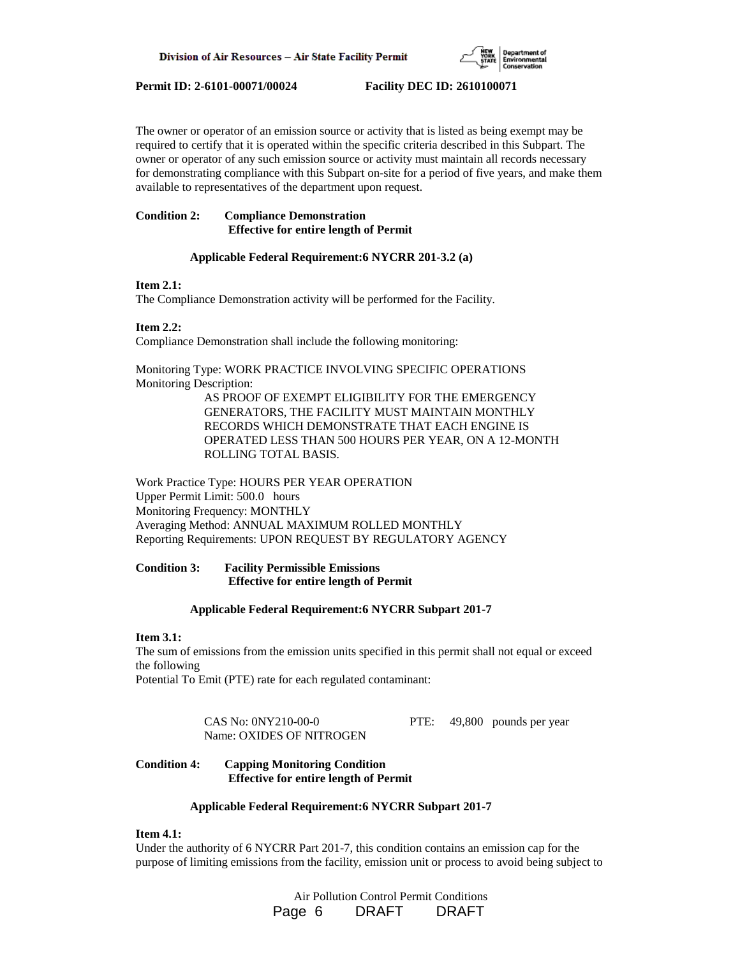

The owner or operator of an emission source or activity that is listed as being exempt may be required to certify that it is operated within the specific criteria described in this Subpart. The owner or operator of any such emission source or activity must maintain all records necessary for demonstrating compliance with this Subpart on-site for a period of five years, and make them available to representatives of the department upon request.

# **Condition 2: Compliance Demonstration Effective for entire length of Permit**

# **Applicable Federal Requirement:6 NYCRR 201-3.2 (a)**

# **Item 2.1:**

The Compliance Demonstration activity will be performed for the Facility.

# **Item 2.2:**

Compliance Demonstration shall include the following monitoring:

Monitoring Type: WORK PRACTICE INVOLVING SPECIFIC OPERATIONS Monitoring Description:

> AS PROOF OF EXEMPT ELIGIBILITY FOR THE EMERGENCY GENERATORS, THE FACILITY MUST MAINTAIN MONTHLY RECORDS WHICH DEMONSTRATE THAT EACH ENGINE IS OPERATED LESS THAN 500 HOURS PER YEAR, ON A 12-MONTH ROLLING TOTAL BASIS.

Work Practice Type: HOURS PER YEAR OPERATION Upper Permit Limit: 500.0 hours Monitoring Frequency: MONTHLY Averaging Method: ANNUAL MAXIMUM ROLLED MONTHLY Reporting Requirements: UPON REQUEST BY REGULATORY AGENCY

# **Condition 3: Facility Permissible Emissions Effective for entire length of Permit**

#### **Applicable Federal Requirement:6 NYCRR Subpart 201-7**

## **Item 3.1:**

The sum of emissions from the emission units specified in this permit shall not equal or exceed the following

Potential To Emit (PTE) rate for each regulated contaminant:

 CAS No: 0NY210-00-0 PTE: 49,800 pounds per year Name: OXIDES OF NITROGEN

# **Condition 4: Capping Monitoring Condition Effective for entire length of Permit**

# **Applicable Federal Requirement:6 NYCRR Subpart 201-7**

# **Item 4.1:**

Under the authority of 6 NYCRR Part 201-7, this condition contains an emission cap for the purpose of limiting emissions from the facility, emission unit or process to avoid being subject to

> Air Pollution Control Permit Conditions Page 6 DRAFT DRAFT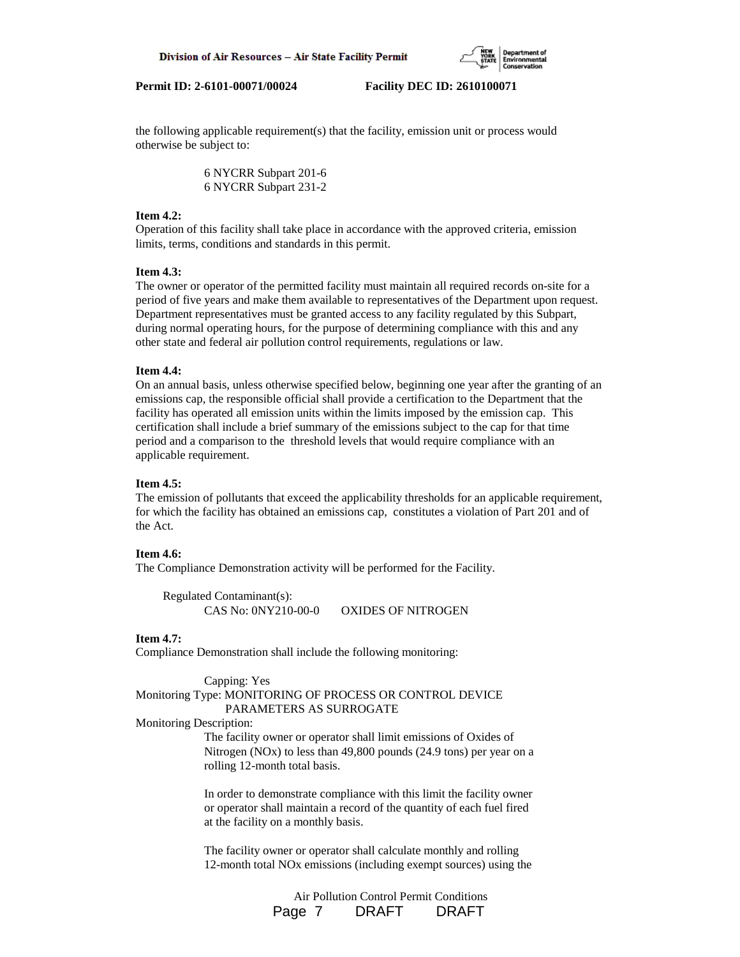

the following applicable requirement(s) that the facility, emission unit or process would otherwise be subject to:

> 6 NYCRR Subpart 201-6 6 NYCRR Subpart 231-2

## **Item 4.2:**

Operation of this facility shall take place in accordance with the approved criteria, emission limits, terms, conditions and standards in this permit.

# **Item 4.3:**

The owner or operator of the permitted facility must maintain all required records on-site for a period of five years and make them available to representatives of the Department upon request. Department representatives must be granted access to any facility regulated by this Subpart, during normal operating hours, for the purpose of determining compliance with this and any other state and federal air pollution control requirements, regulations or law.

# **Item 4.4:**

On an annual basis, unless otherwise specified below, beginning one year after the granting of an emissions cap, the responsible official shall provide a certification to the Department that the facility has operated all emission units within the limits imposed by the emission cap. This certification shall include a brief summary of the emissions subject to the cap for that time period and a comparison to the threshold levels that would require compliance with an applicable requirement.

## **Item 4.5:**

The emission of pollutants that exceed the applicability thresholds for an applicable requirement, for which the facility has obtained an emissions cap, constitutes a violation of Part 201 and of the Act.

#### **Item 4.6:**

The Compliance Demonstration activity will be performed for the Facility.

 Regulated Contaminant(s): CAS No: 0NY210-00-0 OXIDES OF NITROGEN

# **Item 4.7:**

Compliance Demonstration shall include the following monitoring:

Capping: Yes

# Monitoring Type: MONITORING OF PROCESS OR CONTROL DEVICE PARAMETERS AS SURROGATE

Monitoring Description:

 The facility owner or operator shall limit emissions of Oxides of Nitrogen (NOx) to less than 49,800 pounds (24.9 tons) per year on a rolling 12-month total basis.

 In order to demonstrate compliance with this limit the facility owner or operator shall maintain a record of the quantity of each fuel fired at the facility on a monthly basis.

 The facility owner or operator shall calculate monthly and rolling 12-month total NOx emissions (including exempt sources) using the

> Air Pollution Control Permit Conditions Page 7 DRAFT DRAFT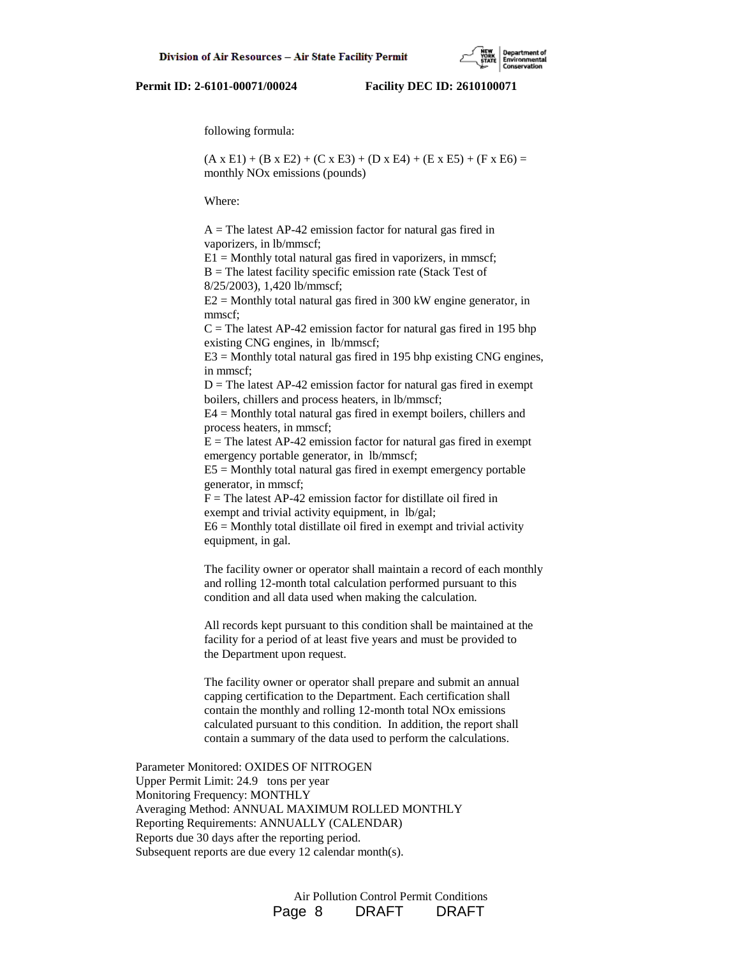following formula:

 $(A \times E1) + (B \times E2) + (C \times E3) + (D \times E4) + (E \times E5) + (F \times E6) =$ monthly NOx emissions (pounds)

Where:

 $A =$ The latest AP-42 emission factor for natural gas fired in vaporizers, in lb/mmscf;

 $E1 =$  Monthly total natural gas fired in vaporizers, in mmscf;  $B =$  The latest facility specific emission rate (Stack Test of 8/25/2003), 1,420 lb/mmscf;

 $E2 =$  Monthly total natural gas fired in 300 kW engine generator, in mmscf;

 $C =$ The latest AP-42 emission factor for natural gas fired in 195 bhp existing CNG engines, in lb/mmscf;

 $E3 =$  Monthly total natural gas fired in 195 bhp existing CNG engines, in mmscf;

 $D =$ The latest AP-42 emission factor for natural gas fired in exempt boilers, chillers and process heaters, in lb/mmscf;

 E4 = Monthly total natural gas fired in exempt boilers, chillers and process heaters, in mmscf;

 $E =$ The latest AP-42 emission factor for natural gas fired in exempt emergency portable generator, in lb/mmscf;

 $E5 =$  Monthly total natural gas fired in exempt emergency portable generator, in mmscf;

 $F =$ The latest AP-42 emission factor for distillate oil fired in exempt and trivial activity equipment, in lb/gal;

 $E6 =$  Monthly total distillate oil fired in exempt and trivial activity equipment, in gal.

 The facility owner or operator shall maintain a record of each monthly and rolling 12-month total calculation performed pursuant to this condition and all data used when making the calculation.

 All records kept pursuant to this condition shall be maintained at the facility for a period of at least five years and must be provided to the Department upon request.

 The facility owner or operator shall prepare and submit an annual capping certification to the Department. Each certification shall contain the monthly and rolling 12-month total NOx emissions calculated pursuant to this condition. In addition, the report shall contain a summary of the data used to perform the calculations.

Parameter Monitored: OXIDES OF NITROGEN Upper Permit Limit: 24.9 tons per year Monitoring Frequency: MONTHLY Averaging Method: ANNUAL MAXIMUM ROLLED MONTHLY Reporting Requirements: ANNUALLY (CALENDAR) Reports due 30 days after the reporting period. Subsequent reports are due every 12 calendar month(s).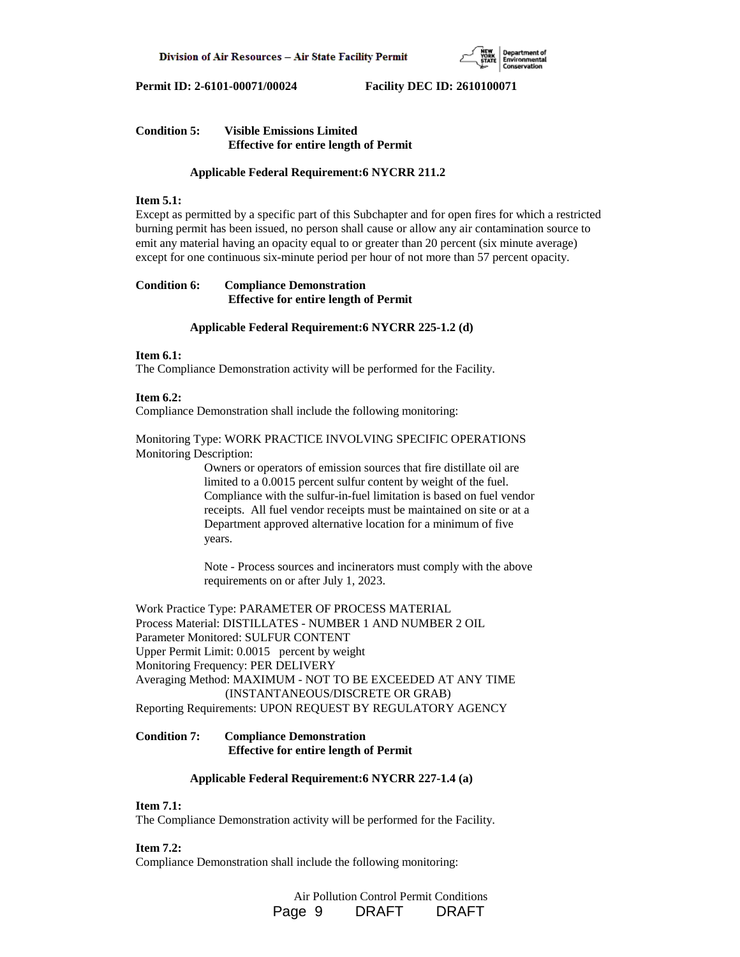

# **Condition 5: Visible Emissions Limited Effective for entire length of Permit**

# **Applicable Federal Requirement:6 NYCRR 211.2**

### **Item 5.1:**

Except as permitted by a specific part of this Subchapter and for open fires for which a restricted burning permit has been issued, no person shall cause or allow any air contamination source to emit any material having an opacity equal to or greater than 20 percent (six minute average) except for one continuous six-minute period per hour of not more than 57 percent opacity.

# **Condition 6: Compliance Demonstration Effective for entire length of Permit**

### **Applicable Federal Requirement:6 NYCRR 225-1.2 (d)**

# **Item 6.1:**

The Compliance Demonstration activity will be performed for the Facility.

### **Item 6.2:**

Compliance Demonstration shall include the following monitoring:

# Monitoring Type: WORK PRACTICE INVOLVING SPECIFIC OPERATIONS Monitoring Description:

 Owners or operators of emission sources that fire distillate oil are limited to a 0.0015 percent sulfur content by weight of the fuel. Compliance with the sulfur-in-fuel limitation is based on fuel vendor receipts. All fuel vendor receipts must be maintained on site or at a Department approved alternative location for a minimum of five years.

 Note - Process sources and incinerators must comply with the above requirements on or after July 1, 2023.

Work Practice Type: PARAMETER OF PROCESS MATERIAL Process Material: DISTILLATES - NUMBER 1 AND NUMBER 2 OIL Parameter Monitored: SULFUR CONTENT Upper Permit Limit: 0.0015 percent by weight Monitoring Frequency: PER DELIVERY Averaging Method: MAXIMUM - NOT TO BE EXCEEDED AT ANY TIME (INSTANTANEOUS/DISCRETE OR GRAB) Reporting Requirements: UPON REQUEST BY REGULATORY AGENCY

# **Condition 7: Compliance Demonstration Effective for entire length of Permit**

# **Applicable Federal Requirement:6 NYCRR 227-1.4 (a)**

#### **Item 7.1:**

The Compliance Demonstration activity will be performed for the Facility.

# **Item 7.2:**

Compliance Demonstration shall include the following monitoring:

 Air Pollution Control Permit Conditions Page 9 DRAFT DRAFT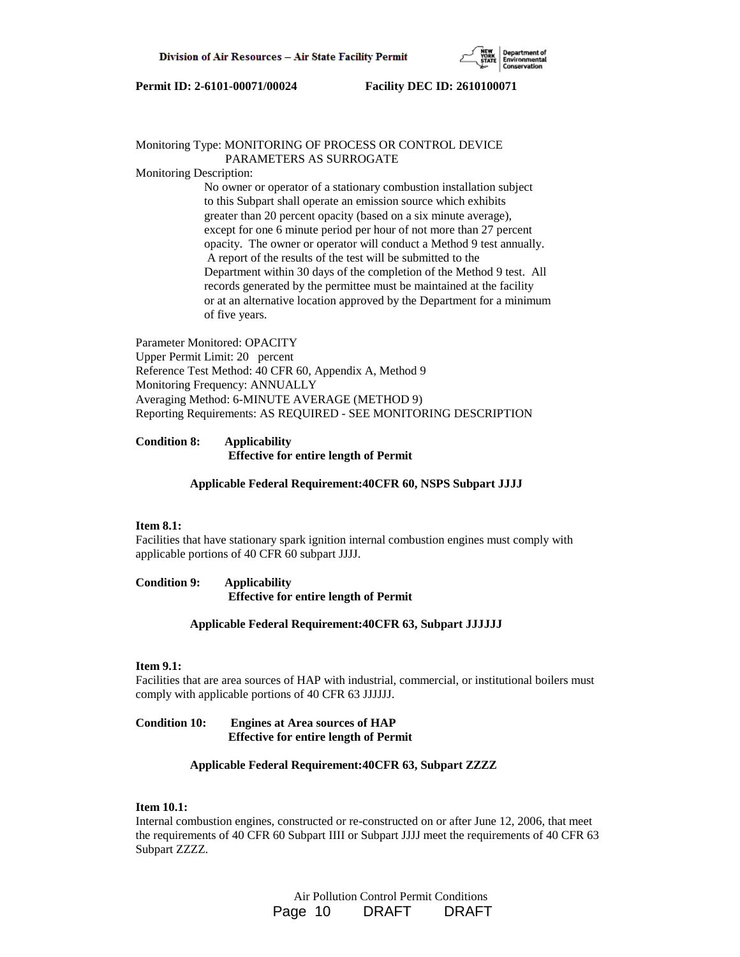

### Monitoring Type: MONITORING OF PROCESS OR CONTROL DEVICE PARAMETERS AS SURROGATE

Monitoring Description:

 No owner or operator of a stationary combustion installation subject to this Subpart shall operate an emission source which exhibits greater than 20 percent opacity (based on a six minute average), except for one 6 minute period per hour of not more than 27 percent opacity. The owner or operator will conduct a Method 9 test annually. A report of the results of the test will be submitted to the Department within 30 days of the completion of the Method 9 test. All records generated by the permittee must be maintained at the facility or at an alternative location approved by the Department for a minimum of five years.

Parameter Monitored: OPACITY Upper Permit Limit: 20 percent Reference Test Method: 40 CFR 60, Appendix A, Method 9 Monitoring Frequency: ANNUALLY Averaging Method: 6-MINUTE AVERAGE (METHOD 9) Reporting Requirements: AS REQUIRED - SEE MONITORING DESCRIPTION

# **Condition 8: Applicability Effective for entire length of Permit**

#### **Applicable Federal Requirement:40CFR 60, NSPS Subpart JJJJ**

#### **Item 8.1:**

Facilities that have stationary spark ignition internal combustion engines must comply with applicable portions of 40 CFR 60 subpart JJJJ.

**Condition 9: Applicability Effective for entire length of Permit**

## **Applicable Federal Requirement:40CFR 63, Subpart JJJJJJ**

#### **Item 9.1:**

Facilities that are area sources of HAP with industrial, commercial, or institutional boilers must comply with applicable portions of 40 CFR 63 JJJJJJ.

# **Condition 10: Engines at Area sources of HAP Effective for entire length of Permit**

# **Applicable Federal Requirement:40CFR 63, Subpart ZZZZ**

# **Item 10.1:**

Internal combustion engines, constructed or re-constructed on or after June 12, 2006, that meet the requirements of 40 CFR 60 Subpart IIII or Subpart JJJJ meet the requirements of 40 CFR 63 Subpart ZZZZ.

> Air Pollution Control Permit Conditions Page 10 DRAFT DRAFT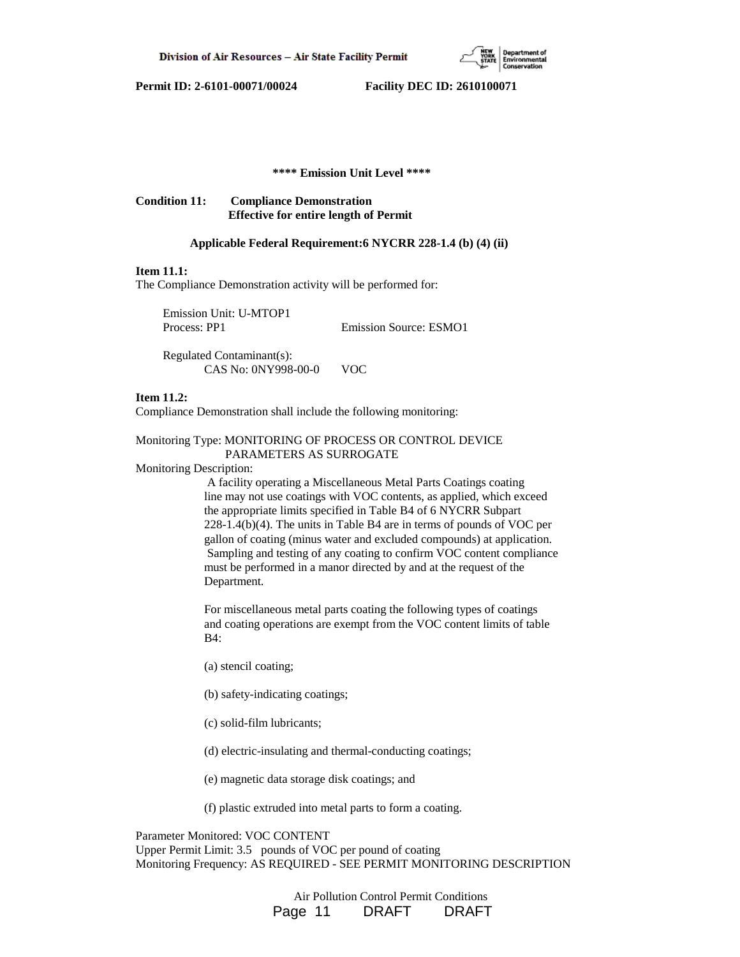

# **\*\*\*\* Emission Unit Level \*\*\*\***

**Condition 11: Compliance Demonstration Effective for entire length of Permit**

#### **Applicable Federal Requirement:6 NYCRR 228-1.4 (b) (4) (ii)**

# **Item 11.1:**

The Compliance Demonstration activity will be performed for:

| Emission Unit: U-MTOP1 |                               |
|------------------------|-------------------------------|
| Process: PP1           | <b>Emission Source: ESMO1</b> |

 Regulated Contaminant(s): CAS No: 0NY998-00-0 VOC

### **Item 11.2:**

Compliance Demonstration shall include the following monitoring:

# Monitoring Type: MONITORING OF PROCESS OR CONTROL DEVICE PARAMETERS AS SURROGATE

Monitoring Description:

 A facility operating a Miscellaneous Metal Parts Coatings coating line may not use coatings with VOC contents, as applied, which exceed the appropriate limits specified in Table B4 of 6 NYCRR Subpart 228-1.4(b)(4). The units in Table B4 are in terms of pounds of VOC per gallon of coating (minus water and excluded compounds) at application. Sampling and testing of any coating to confirm VOC content compliance must be performed in a manor directed by and at the request of the Department.

 For miscellaneous metal parts coating the following types of coatings and coating operations are exempt from the VOC content limits of table B4:

- (a) stencil coating;
- (b) safety-indicating coatings;
- (c) solid-film lubricants;

(d) electric-insulating and thermal-conducting coatings;

(e) magnetic data storage disk coatings; and

(f) plastic extruded into metal parts to form a coating.

Parameter Monitored: VOC CONTENT Upper Permit Limit: 3.5 pounds of VOC per pound of coating Monitoring Frequency: AS REQUIRED - SEE PERMIT MONITORING DESCRIPTION

> Air Pollution Control Permit Conditions Page 11 DRAFT DRAFT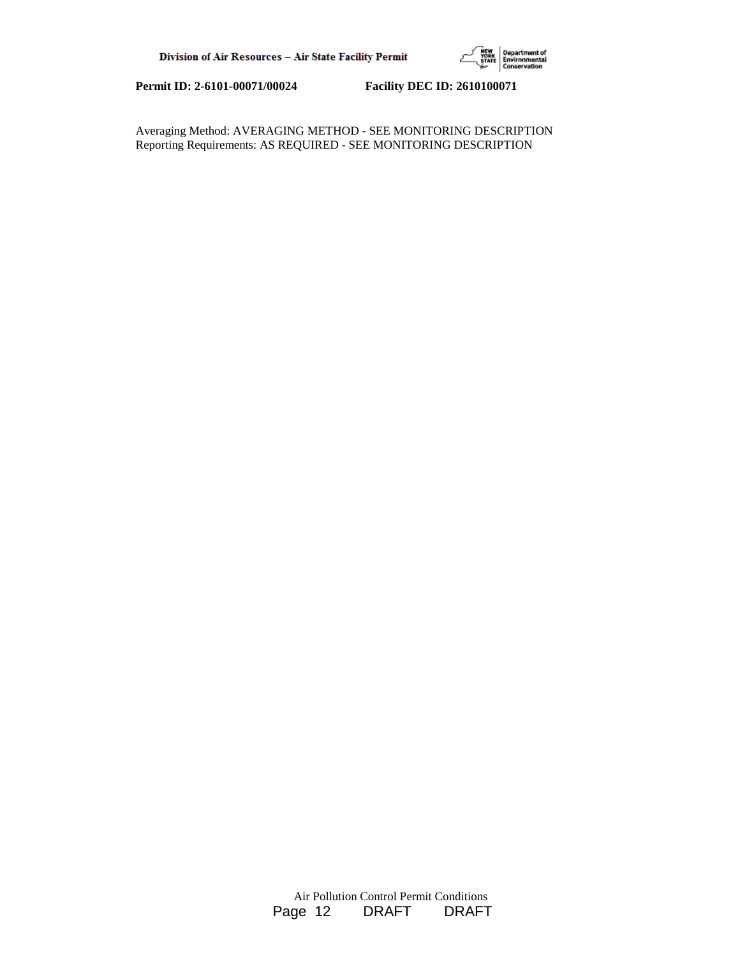

Averaging Method: AVERAGING METHOD - SEE MONITORING DESCRIPTION Reporting Requirements: AS REQUIRED - SEE MONITORING DESCRIPTION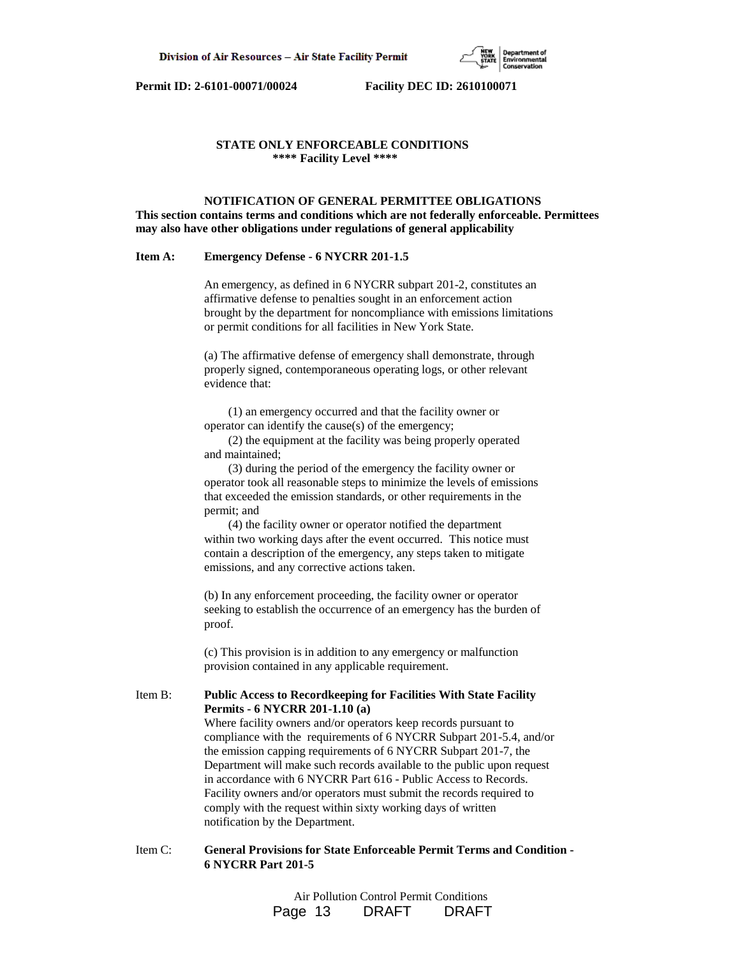# **STATE ONLY ENFORCEABLE CONDITIONS \*\*\*\* Facility Level \*\*\*\***

#### **NOTIFICATION OF GENERAL PERMITTEE OBLIGATIONS**

**This section contains terms and conditions which are not federally enforceable. Permittees may also have other obligations under regulations of general applicability**

#### **Item A: Emergency Defense - 6 NYCRR 201-1.5**

 An emergency, as defined in 6 NYCRR subpart 201-2, constitutes an affirmative defense to penalties sought in an enforcement action brought by the department for noncompliance with emissions limitations or permit conditions for all facilities in New York State.

 (a) The affirmative defense of emergency shall demonstrate, through properly signed, contemporaneous operating logs, or other relevant evidence that:

 (1) an emergency occurred and that the facility owner or operator can identify the cause(s) of the emergency;

 (2) the equipment at the facility was being properly operated and maintained;

 (3) during the period of the emergency the facility owner or operator took all reasonable steps to minimize the levels of emissions that exceeded the emission standards, or other requirements in the permit; and

 (4) the facility owner or operator notified the department within two working days after the event occurred. This notice must contain a description of the emergency, any steps taken to mitigate emissions, and any corrective actions taken.

 (b) In any enforcement proceeding, the facility owner or operator seeking to establish the occurrence of an emergency has the burden of proof.

 (c) This provision is in addition to any emergency or malfunction provision contained in any applicable requirement.

### Item B: **Public Access to Recordkeeping for Facilities With State Facility Permits - 6 NYCRR 201-1.10 (a)**

 Where facility owners and/or operators keep records pursuant to compliance with the requirements of 6 NYCRR Subpart 201-5.4, and/or the emission capping requirements of 6 NYCRR Subpart 201-7, the Department will make such records available to the public upon request in accordance with 6 NYCRR Part 616 - Public Access to Records. Facility owners and/or operators must submit the records required to comply with the request within sixty working days of written notification by the Department.

# Item C: **General Provisions for State Enforceable Permit Terms and Condition - 6 NYCRR Part 201-5**

 Air Pollution Control Permit Conditions Page 13 DRAFT DRAFT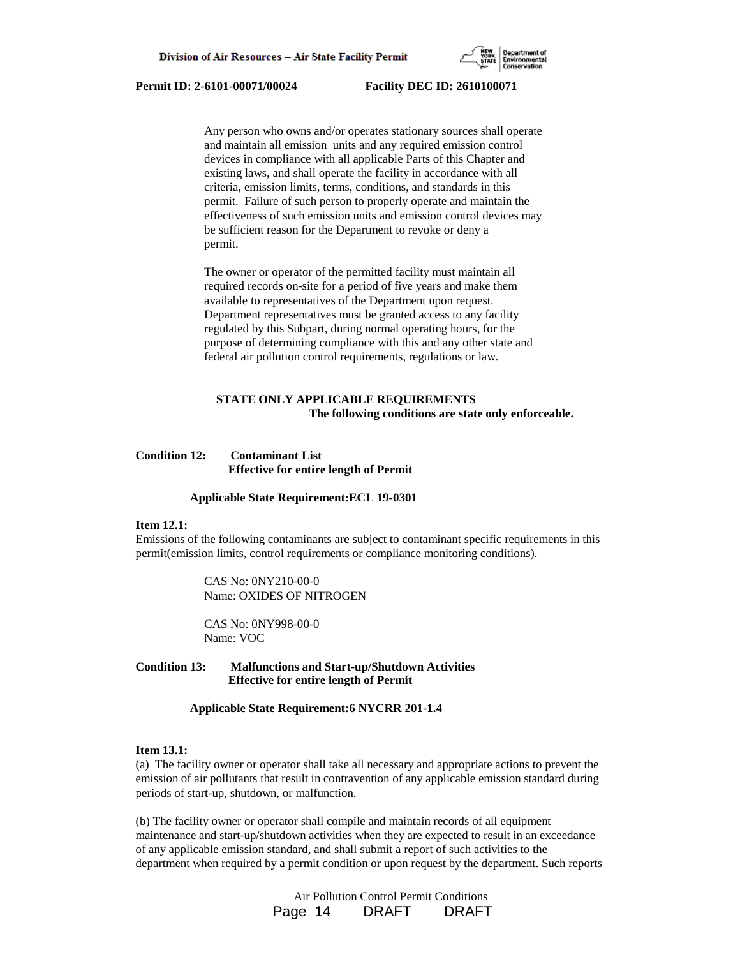

 Any person who owns and/or operates stationary sources shall operate and maintain all emission units and any required emission control devices in compliance with all applicable Parts of this Chapter and existing laws, and shall operate the facility in accordance with all criteria, emission limits, terms, conditions, and standards in this permit. Failure of such person to properly operate and maintain the effectiveness of such emission units and emission control devices may be sufficient reason for the Department to revoke or deny a permit.

 The owner or operator of the permitted facility must maintain all required records on-site for a period of five years and make them available to representatives of the Department upon request. Department representatives must be granted access to any facility regulated by this Subpart, during normal operating hours, for the purpose of determining compliance with this and any other state and federal air pollution control requirements, regulations or law.

# **STATE ONLY APPLICABLE REQUIREMENTS The following conditions are state only enforceable.**

## **Condition 12: Contaminant List Effective for entire length of Permit**

#### **Applicable State Requirement:ECL 19-0301**

# **Item 12.1:**

Emissions of the following contaminants are subject to contaminant specific requirements in this permit(emission limits, control requirements or compliance monitoring conditions).

> CAS No: 0NY210-00-0 Name: OXIDES OF NITROGEN

 CAS No: 0NY998-00-0 Name: VOC

**Condition 13: Malfunctions and Start-up/Shutdown Activities Effective for entire length of Permit**

 **Applicable State Requirement:6 NYCRR 201-1.4**

# **Item 13.1:**

(a) The facility owner or operator shall take all necessary and appropriate actions to prevent the emission of air pollutants that result in contravention of any applicable emission standard during periods of start-up, shutdown, or malfunction.

(b) The facility owner or operator shall compile and maintain records of all equipment maintenance and start-up/shutdown activities when they are expected to result in an exceedance of any applicable emission standard, and shall submit a report of such activities to the department when required by a permit condition or upon request by the department. Such reports

> Air Pollution Control Permit Conditions Page 14 DRAFT DRAFT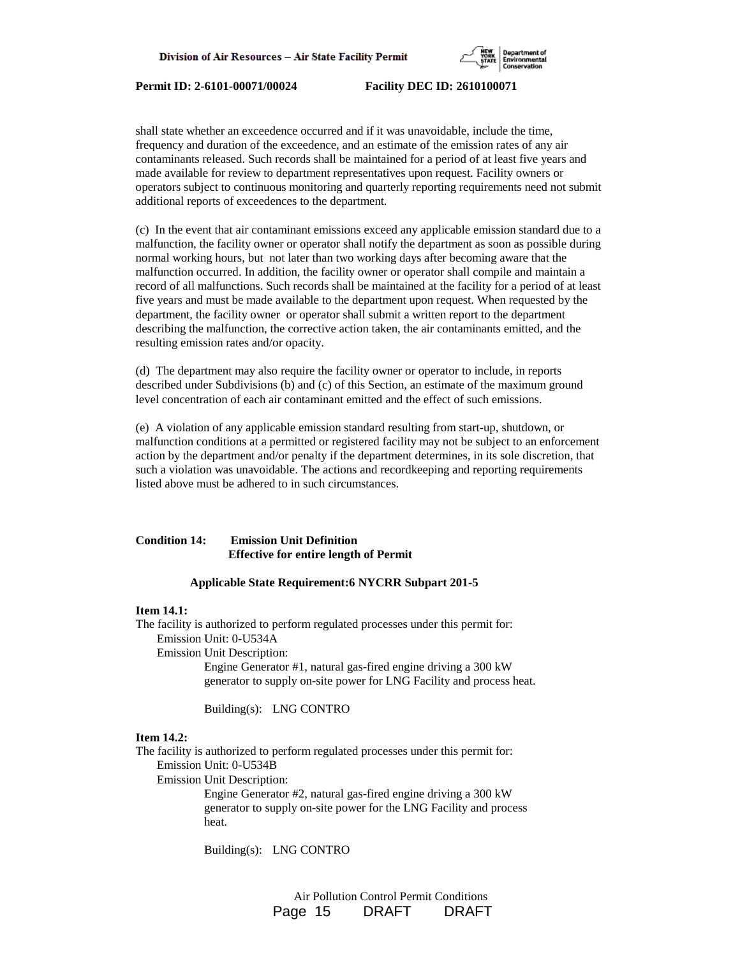

shall state whether an exceedence occurred and if it was unavoidable, include the time, frequency and duration of the exceedence, and an estimate of the emission rates of any air contaminants released. Such records shall be maintained for a period of at least five years and made available for review to department representatives upon request. Facility owners or operators subject to continuous monitoring and quarterly reporting requirements need not submit additional reports of exceedences to the department.

(c) In the event that air contaminant emissions exceed any applicable emission standard due to a malfunction, the facility owner or operator shall notify the department as soon as possible during normal working hours, but not later than two working days after becoming aware that the malfunction occurred. In addition, the facility owner or operator shall compile and maintain a record of all malfunctions. Such records shall be maintained at the facility for a period of at least five years and must be made available to the department upon request. When requested by the department, the facility owner or operator shall submit a written report to the department describing the malfunction, the corrective action taken, the air contaminants emitted, and the resulting emission rates and/or opacity.

(d) The department may also require the facility owner or operator to include, in reports described under Subdivisions (b) and (c) of this Section, an estimate of the maximum ground level concentration of each air contaminant emitted and the effect of such emissions.

(e) A violation of any applicable emission standard resulting from start-up, shutdown, or malfunction conditions at a permitted or registered facility may not be subject to an enforcement action by the department and/or penalty if the department determines, in its sole discretion, that such a violation was unavoidable. The actions and recordkeeping and reporting requirements listed above must be adhered to in such circumstances.

# **Condition 14: Emission Unit Definition Effective for entire length of Permit**

#### **Applicable State Requirement:6 NYCRR Subpart 201-5**

# **Item 14.1:**

The facility is authorized to perform regulated processes under this permit for: Emission Unit: 0-U534A

Emission Unit Description:

 Engine Generator #1, natural gas-fired engine driving a 300 kW generator to supply on-site power for LNG Facility and process heat.

Building(s): LNG CONTRO

# **Item 14.2:**

The facility is authorized to perform regulated processes under this permit for: Emission Unit: 0-U534B

Emission Unit Description:

 Engine Generator #2, natural gas-fired engine driving a 300 kW generator to supply on-site power for the LNG Facility and process heat.

Building(s): LNG CONTRO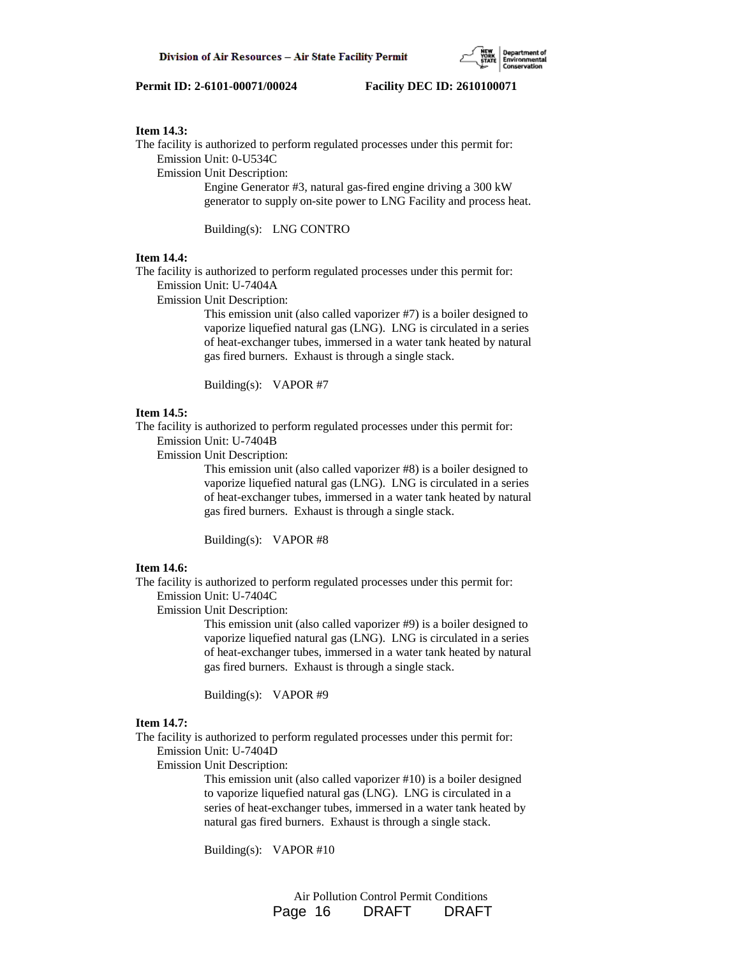

#### **Item 14.3:**

The facility is authorized to perform regulated processes under this permit for:

Emission Unit: 0-U534C

Emission Unit Description:

 Engine Generator #3, natural gas-fired engine driving a 300 kW generator to supply on-site power to LNG Facility and process heat.

Building(s): LNG CONTRO

#### **Item 14.4:**

The facility is authorized to perform regulated processes under this permit for:

Emission Unit: U-7404A

Emission Unit Description:

 This emission unit (also called vaporizer #7) is a boiler designed to vaporize liquefied natural gas (LNG). LNG is circulated in a series of heat-exchanger tubes, immersed in a water tank heated by natural gas fired burners. Exhaust is through a single stack.

Building(s): VAPOR #7

# **Item 14.5:**

The facility is authorized to perform regulated processes under this permit for:

Emission Unit: U-7404B

Emission Unit Description:

 This emission unit (also called vaporizer #8) is a boiler designed to vaporize liquefied natural gas (LNG). LNG is circulated in a series of heat-exchanger tubes, immersed in a water tank heated by natural gas fired burners. Exhaust is through a single stack.

Building(s): VAPOR #8

#### **Item 14.6:**

The facility is authorized to perform regulated processes under this permit for:

Emission Unit: U-7404C

Emission Unit Description:

 This emission unit (also called vaporizer #9) is a boiler designed to vaporize liquefied natural gas (LNG). LNG is circulated in a series of heat-exchanger tubes, immersed in a water tank heated by natural gas fired burners. Exhaust is through a single stack.

Building(s): VAPOR #9

# **Item 14.7:**

The facility is authorized to perform regulated processes under this permit for: Emission Unit: U-7404D

Emission Unit Description:

 This emission unit (also called vaporizer #10) is a boiler designed to vaporize liquefied natural gas (LNG). LNG is circulated in a series of heat-exchanger tubes, immersed in a water tank heated by natural gas fired burners. Exhaust is through a single stack.

Building(s): VAPOR #10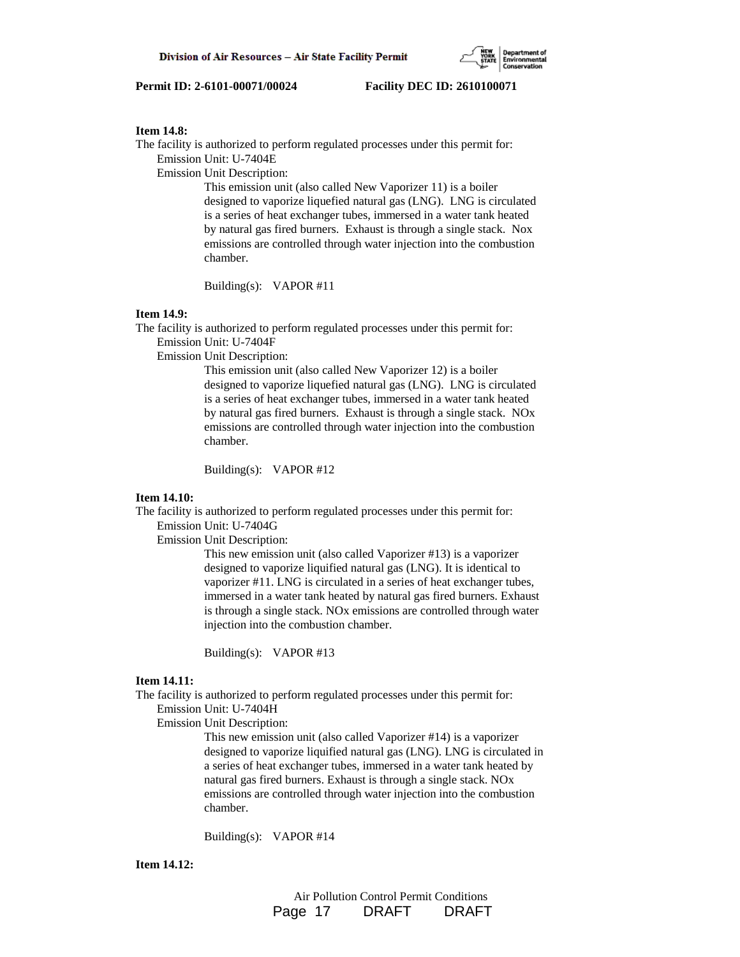#### **Item 14.8:**

The facility is authorized to perform regulated processes under this permit for:

Emission Unit: U-7404E

Emission Unit Description:

 This emission unit (also called New Vaporizer 11) is a boiler designed to vaporize liquefied natural gas (LNG). LNG is circulated is a series of heat exchanger tubes, immersed in a water tank heated by natural gas fired burners. Exhaust is through a single stack. Nox emissions are controlled through water injection into the combustion chamber.

Building(s): VAPOR #11

# **Item 14.9:**

The facility is authorized to perform regulated processes under this permit for:

Emission Unit: U-7404F

Emission Unit Description:

 This emission unit (also called New Vaporizer 12) is a boiler designed to vaporize liquefied natural gas (LNG). LNG is circulated is a series of heat exchanger tubes, immersed in a water tank heated by natural gas fired burners. Exhaust is through a single stack. NOx emissions are controlled through water injection into the combustion chamber.

Building(s): VAPOR #12

# **Item 14.10:**

The facility is authorized to perform regulated processes under this permit for: Emission Unit: U-7404G

Emission Unit Description:

 This new emission unit (also called Vaporizer #13) is a vaporizer designed to vaporize liquified natural gas (LNG). It is identical to vaporizer #11. LNG is circulated in a series of heat exchanger tubes, immersed in a water tank heated by natural gas fired burners. Exhaust is through a single stack. NOx emissions are controlled through water injection into the combustion chamber.

Building(s): VAPOR #13

# **Item 14.11:**

The facility is authorized to perform regulated processes under this permit for: Emission Unit: U-7404H

Emission Unit Description:

 This new emission unit (also called Vaporizer #14) is a vaporizer designed to vaporize liquified natural gas (LNG). LNG is circulated in a series of heat exchanger tubes, immersed in a water tank heated by natural gas fired burners. Exhaust is through a single stack. NOx emissions are controlled through water injection into the combustion chamber.

Building(s): VAPOR #14

**Item 14.12:**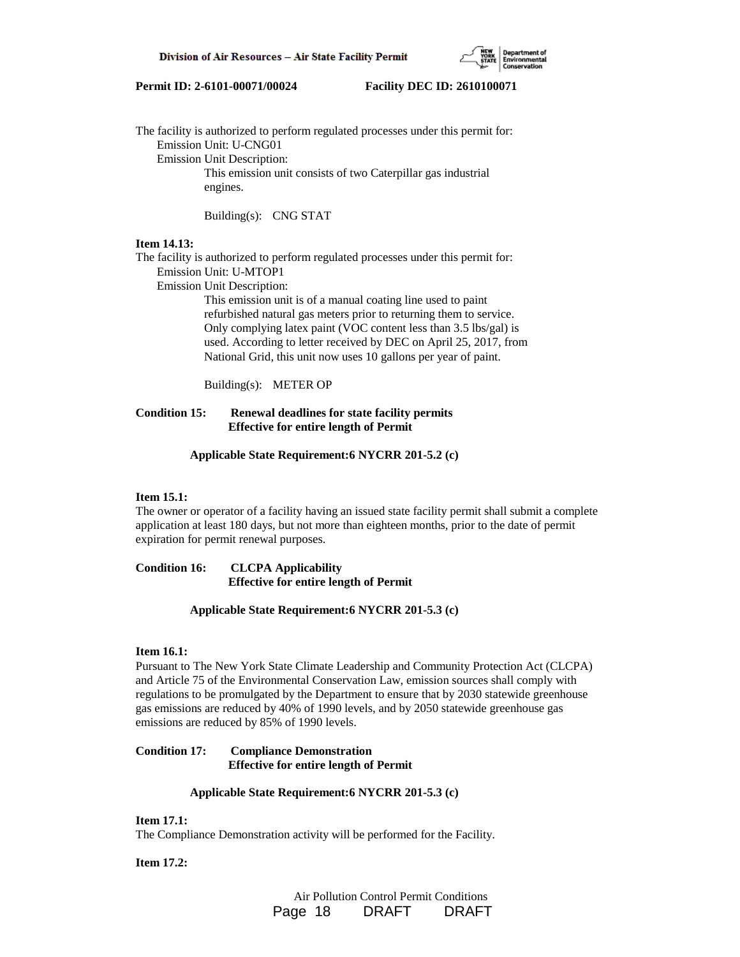

The facility is authorized to perform regulated processes under this permit for: Emission Unit: U-CNG01 Emission Unit Description: This emission unit consists of two Caterpillar gas industrial engines.

Building(s): CNG STAT

# **Item 14.13:**

The facility is authorized to perform regulated processes under this permit for: Emission Unit: U-MTOP1

Emission Unit Description:

 This emission unit is of a manual coating line used to paint refurbished natural gas meters prior to returning them to service. Only complying latex paint (VOC content less than 3.5 lbs/gal) is used. According to letter received by DEC on April 25, 2017, from National Grid, this unit now uses 10 gallons per year of paint.

Building(s): METER OP

# **Condition 15: Renewal deadlines for state facility permits Effective for entire length of Permit**

#### **Applicable State Requirement:6 NYCRR 201-5.2 (c)**

#### **Item 15.1:**

The owner or operator of a facility having an issued state facility permit shall submit a complete application at least 180 days, but not more than eighteen months, prior to the date of permit expiration for permit renewal purposes.

**Condition 16: CLCPA Applicability Effective for entire length of Permit**

## **Applicable State Requirement:6 NYCRR 201-5.3 (c)**

# **Item 16.1:**

Pursuant to The New York State Climate Leadership and Community Protection Act (CLCPA) and Article 75 of the Environmental Conservation Law, emission sources shall comply with regulations to be promulgated by the Department to ensure that by 2030 statewide greenhouse gas emissions are reduced by 40% of 1990 levels, and by 2050 statewide greenhouse gas emissions are reduced by 85% of 1990 levels.

# **Condition 17: Compliance Demonstration Effective for entire length of Permit**

# **Applicable State Requirement:6 NYCRR 201-5.3 (c)**

## **Item 17.1:**

The Compliance Demonstration activity will be performed for the Facility.

#### **Item 17.2:**

 Air Pollution Control Permit Conditions Page 18 DRAFT DRAFT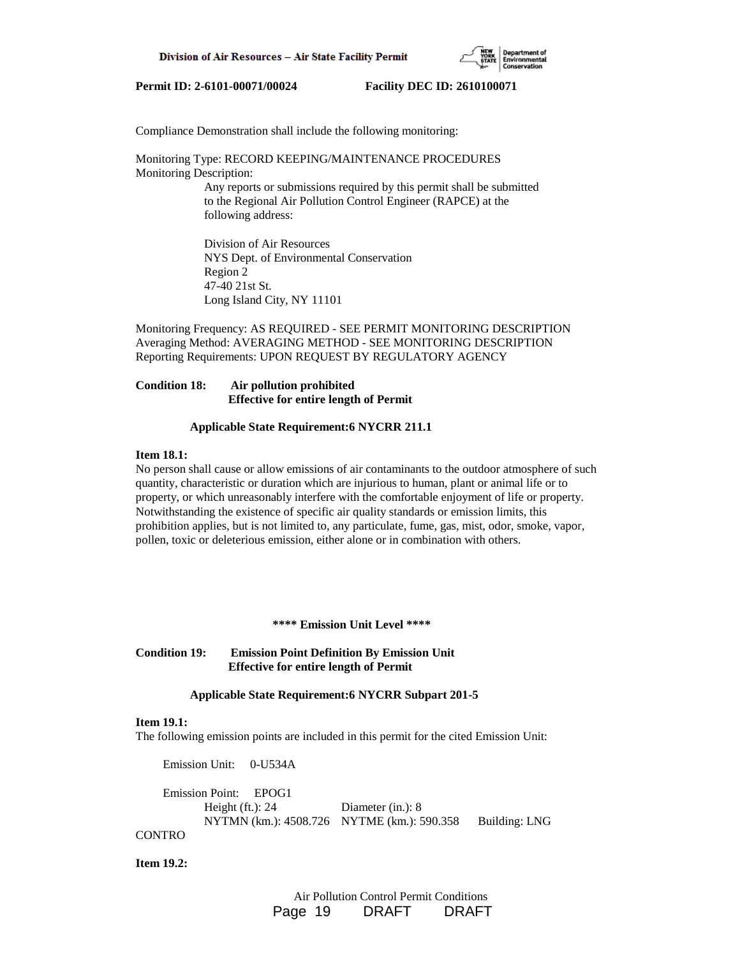

Compliance Demonstration shall include the following monitoring:

# Monitoring Type: RECORD KEEPING/MAINTENANCE PROCEDURES Monitoring Description: Any reports or submissions required by this permit shall be submitted

 to the Regional Air Pollution Control Engineer (RAPCE) at the following address:

 Division of Air Resources NYS Dept. of Environmental Conservation Region 2 47-40 21st St. Long Island City, NY 11101

Monitoring Frequency: AS REQUIRED - SEE PERMIT MONITORING DESCRIPTION Averaging Method: AVERAGING METHOD - SEE MONITORING DESCRIPTION Reporting Requirements: UPON REQUEST BY REGULATORY AGENCY

# **Condition 18: Air pollution prohibited Effective for entire length of Permit**

#### **Applicable State Requirement:6 NYCRR 211.1**

#### **Item 18.1:**

No person shall cause or allow emissions of air contaminants to the outdoor atmosphere of such quantity, characteristic or duration which are injurious to human, plant or animal life or to property, or which unreasonably interfere with the comfortable enjoyment of life or property. Notwithstanding the existence of specific air quality standards or emission limits, this prohibition applies, but is not limited to, any particulate, fume, gas, mist, odor, smoke, vapor, pollen, toxic or deleterious emission, either alone or in combination with others.

#### **\*\*\*\* Emission Unit Level \*\*\*\***

**Condition 19: Emission Point Definition By Emission Unit Effective for entire length of Permit**

#### **Applicable State Requirement:6 NYCRR Subpart 201-5**

### **Item 19.1:**

The following emission points are included in this permit for the cited Emission Unit:

Emission Unit: 0-U534A

 Emission Point: EPOG1 Height (ft.): 24 Diameter (in.): 8 NYTMN (km.): 4508.726 NYTME (km.): 590.358 Building: LNG **CONTRO** 

**Item 19.2:**

 Air Pollution Control Permit Conditions Page 19 DRAFT DRAFT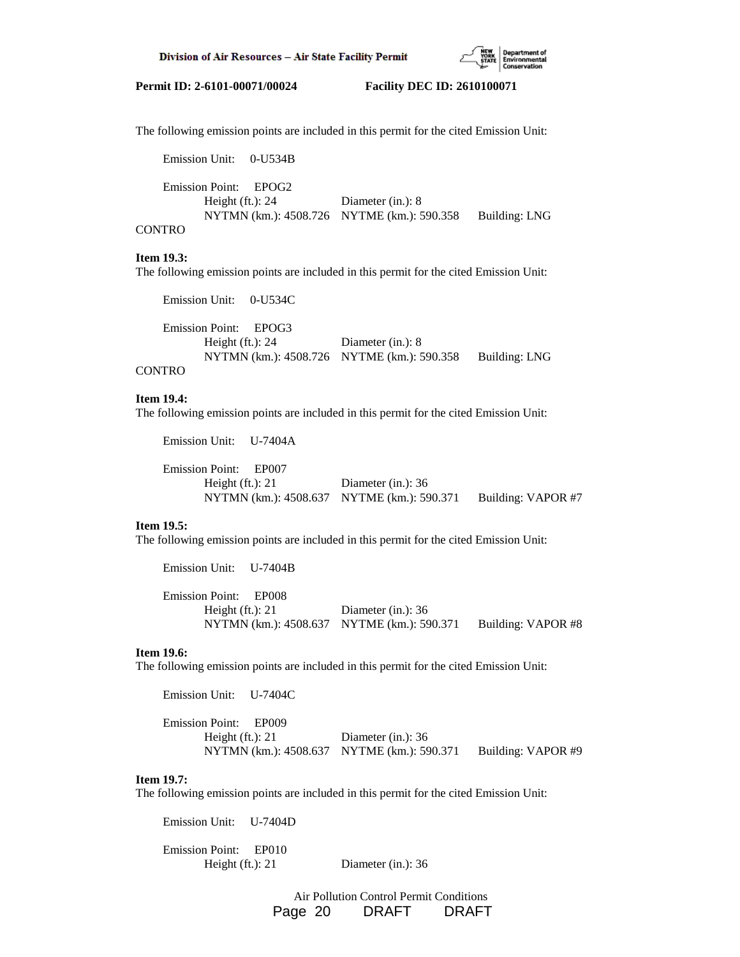

The following emission points are included in this permit for the cited Emission Unit:

 Emission Unit: 0-U534B Emission Point: EPOG2 Height (ft.): 24 Diameter (in.): 8 NYTMN (km.): 4508.726 NYTME (km.): 590.358 Building: LNG

# CONTRO

#### **Item 19.3:**

The following emission points are included in this permit for the cited Emission Unit:

 Emission Unit: 0-U534C Emission Point: EPOG3 Height (ft.): 24 Diameter (in.): 8 NYTMN (km.): 4508.726 NYTME (km.): 590.358 Building: LNG **CONTRO** 

#### **Item 19.4:**

The following emission points are included in this permit for the cited Emission Unit:

 Emission Unit: U-7404A Emission Point: EP007 Height (ft.): 21 Diameter (in.): 36 NYTMN (km.): 4508.637 NYTME (km.): 590.371 Building: VAPOR #7

#### **Item 19.5:**

The following emission points are included in this permit for the cited Emission Unit:

Emission Unit: U-7404B

 Emission Point: EP008 Height (ft.): 21 Diameter (in.): 36 NYTMN (km.): 4508.637 NYTME (km.): 590.371 Building: VAPOR #8

#### **Item 19.6:**

The following emission points are included in this permit for the cited Emission Unit:

Emission Unit: U-7404C

 Emission Point: EP009 Height (ft.): 21 Diameter (in.): 36 NYTMN (km.): 4508.637 NYTME (km.): 590.371 Building: VAPOR #9

# **Item 19.7:**

The following emission points are included in this permit for the cited Emission Unit:

Emission Unit: U-7404D

 Emission Point: EP010 Height (ft.): 21 Diameter (in.): 36

> Air Pollution Control Permit Conditions Page 20 DRAFT DRAFT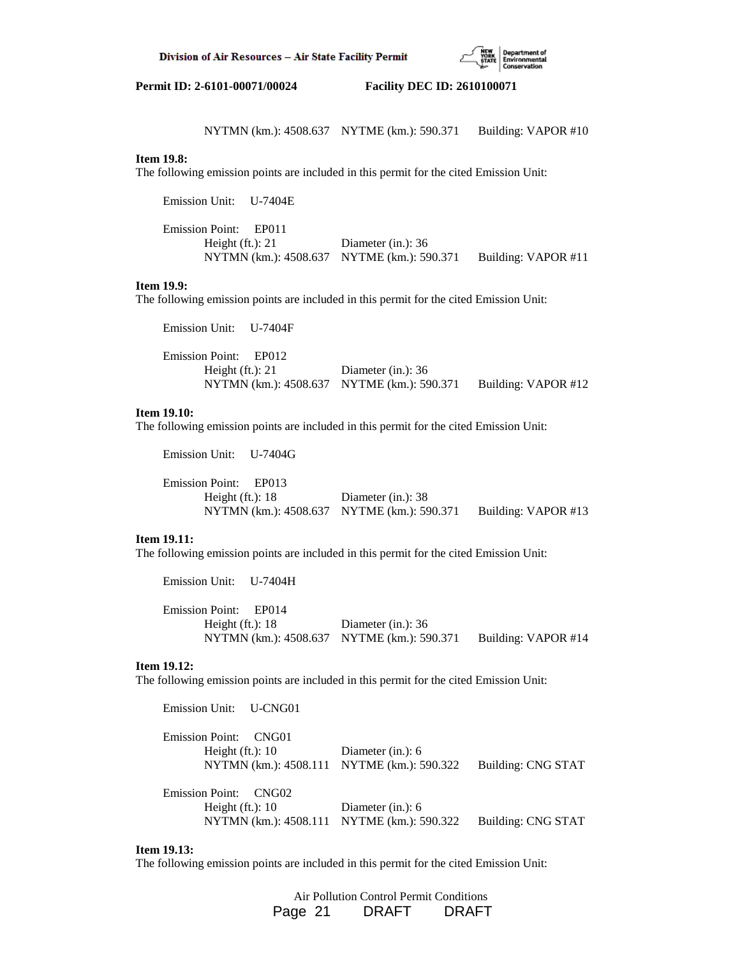

NYTMN (km.): 4508.637 NYTME (km.): 590.371 Building: VAPOR #10

# **Item 19.8:**

The following emission points are included in this permit for the cited Emission Unit:

 Emission Unit: U-7404E Emission Point: EP011 Height (ft.): 21 Diameter (in.): 36 NYTMN (km.): 4508.637 NYTME (km.): 590.371 Building: VAPOR #11

# **Item 19.9:**

The following emission points are included in this permit for the cited Emission Unit:

| Emission Unit: U-7404F |                                            |                     |
|------------------------|--------------------------------------------|---------------------|
| Emission Point: EP012  |                                            |                     |
| Height $(ft.)$ : 21    | Diameter (in.): $36$                       |                     |
|                        | NYTMN (km.): 4508.637 NYTME (km.): 590.371 | Building: VAPOR #12 |

#### **Item 19.10:**

Emission Unit: U-7404G

The following emission points are included in this permit for the cited Emission Unit:

 Emission Point: EP013 Height (ft.): 18 Diameter (in.): 38 NYTMN (km.): 4508.637 NYTME (km.): 590.371 Building: VAPOR #13

# **Item 19.11:**

The following emission points are included in this permit for the cited Emission Unit:

| Emission Unit: U-7404H |                                            |                     |
|------------------------|--------------------------------------------|---------------------|
| Emission Point: EP014  |                                            |                     |
| Height $(ft.)$ : 18    | Diameter (in.): $36$                       |                     |
|                        | NYTMN (km.): 4508.637 NYTME (km.): 590.371 | Building: VAPOR #14 |

#### **Item 19.12:**

The following emission points are included in this permit for the cited Emission Unit:

 Emission Unit: U-CNG01 Emission Point: CNG01 Height (ft.): 10 Diameter (in.): 6 NYTMN (km.): 4508.111 NYTME (km.): 590.322 Building: CNG STAT Emission Point: CNG02 Height (ft.): 10 Diameter (in.): 6 NYTMN (km.): 4508.111 NYTME (km.): 590.322 Building: CNG STAT

## **Item 19.13:**

The following emission points are included in this permit for the cited Emission Unit:

 Air Pollution Control Permit Conditions Page 21 DRAFT DRAFT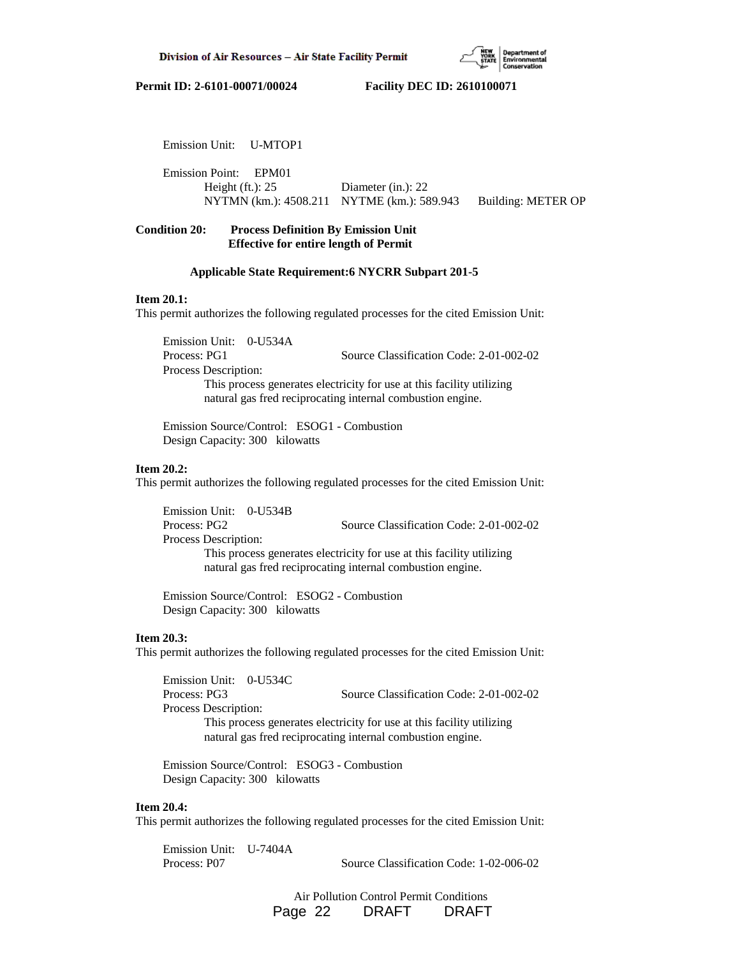

Emission Unit: U-MTOP1

 Emission Point: EPM01 Height (ft.): 25 Diameter (in.): 22 NYTMN (km.): 4508.211 NYTME (km.): 589.943 Building: METER OP

# **Condition 20: Process Definition By Emission Unit Effective for entire length of Permit**

# **Applicable State Requirement:6 NYCRR Subpart 201-5**

#### **Item 20.1:**

This permit authorizes the following regulated processes for the cited Emission Unit:

 Emission Unit: 0-U534A Process: PG1 Source Classification Code: 2-01-002-02 Process Description: This process generates electricity for use at this facility utilizing natural gas fred reciprocating internal combustion engine.

 Emission Source/Control: ESOG1 - Combustion Design Capacity: 300 kilowatts

#### **Item 20.2:**

This permit authorizes the following regulated processes for the cited Emission Unit:

 Emission Unit: 0-U534B Process: PG2 Source Classification Code: 2-01-002-02 Process Description: This process generates electricity for use at this facility utilizing natural gas fred reciprocating internal combustion engine.

 Emission Source/Control: ESOG2 - Combustion Design Capacity: 300 kilowatts

## **Item 20.3:**

This permit authorizes the following regulated processes for the cited Emission Unit:

 Emission Unit: 0-U534C Process: PG3 Source Classification Code: 2-01-002-02 Process Description: This process generates electricity for use at this facility utilizing natural gas fred reciprocating internal combustion engine.

 Emission Source/Control: ESOG3 - Combustion Design Capacity: 300 kilowatts

#### **Item 20.4:**

This permit authorizes the following regulated processes for the cited Emission Unit:

 Emission Unit: U-7404A Process: P07 Source Classification Code: 1-02-006-02

> Air Pollution Control Permit Conditions Page 22 DRAFT DRAFT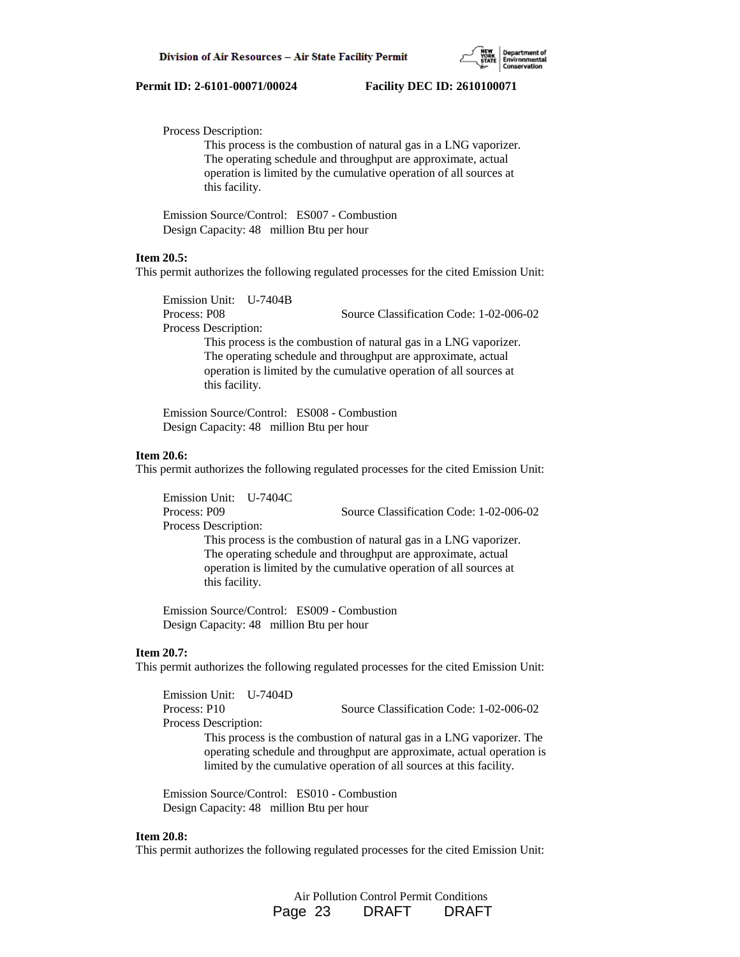

Process Description:

 This process is the combustion of natural gas in a LNG vaporizer. The operating schedule and throughput are approximate, actual operation is limited by the cumulative operation of all sources at this facility.

 Emission Source/Control: ES007 - Combustion Design Capacity: 48 million Btu per hour

#### **Item 20.5:**

This permit authorizes the following regulated processes for the cited Emission Unit:

Emission Unit: U-7404B

Process Description:

Process: P08 Source Classification Code: 1-02-006-02

 This process is the combustion of natural gas in a LNG vaporizer. The operating schedule and throughput are approximate, actual operation is limited by the cumulative operation of all sources at this facility.

 Emission Source/Control: ES008 - Combustion Design Capacity: 48 million Btu per hour

#### **Item 20.6:**

This permit authorizes the following regulated processes for the cited Emission Unit:

 Emission Unit: U-7404C Process: P09 Source Classification Code: 1-02-006-02 Process Description: This process is the combustion of natural gas in a LNG vaporizer.

 The operating schedule and throughput are approximate, actual operation is limited by the cumulative operation of all sources at this facility.

 Emission Source/Control: ES009 - Combustion Design Capacity: 48 million Btu per hour

#### **Item 20.7:**

This permit authorizes the following regulated processes for the cited Emission Unit:

 Emission Unit: U-7404D Process: P10 Source Classification Code: 1-02-006-02 Process Description: This process is the combustion of natural gas in a LNG vaporizer. The operating schedule and throughput are approximate, actual operation is limited by the cumulative operation of all sources at this facility.

 Emission Source/Control: ES010 - Combustion Design Capacity: 48 million Btu per hour

#### **Item 20.8:**

This permit authorizes the following regulated processes for the cited Emission Unit:

 Air Pollution Control Permit Conditions Page 23 DRAFT DRAFT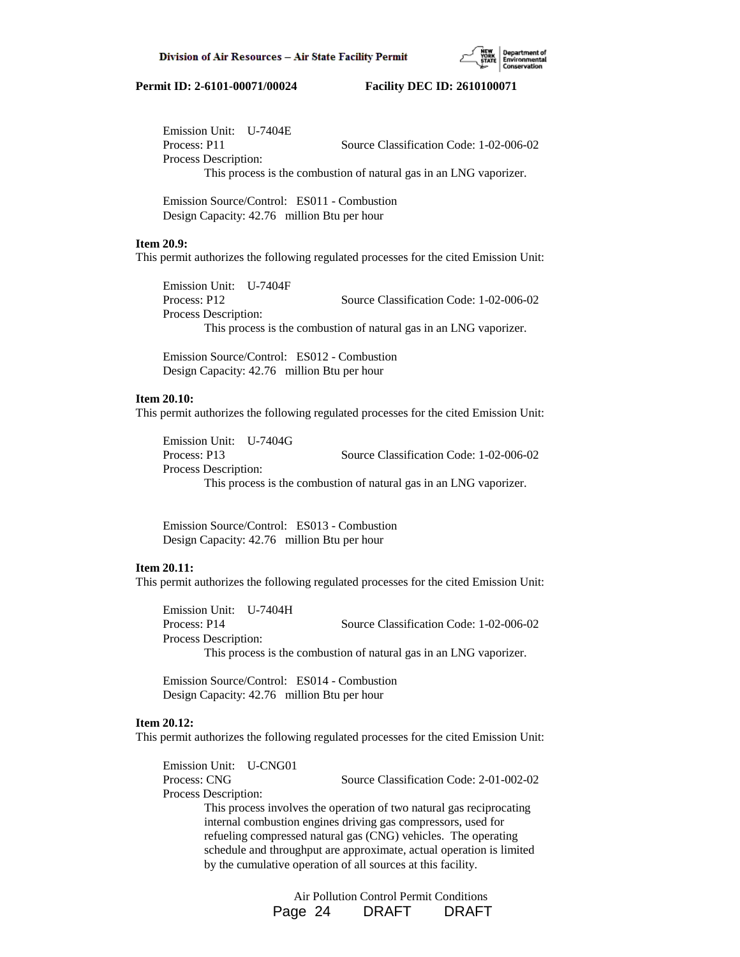

 Emission Unit: U-7404E Process: P11 Source Classification Code: 1-02-006-02 Process Description: This process is the combustion of natural gas in an LNG vaporizer.

 Emission Source/Control: ES011 - Combustion Design Capacity: 42.76 million Btu per hour

# **Item 20.9:**

This permit authorizes the following regulated processes for the cited Emission Unit:

 Emission Unit: U-7404F Process: P12 Source Classification Code: 1-02-006-02 Process Description: This process is the combustion of natural gas in an LNG vaporizer.

 Emission Source/Control: ES012 - Combustion Design Capacity: 42.76 million Btu per hour

# **Item 20.10:**

This permit authorizes the following regulated processes for the cited Emission Unit:

 Emission Unit: U-7404G Process: P13 Source Classification Code: 1-02-006-02 Process Description: This process is the combustion of natural gas in an LNG vaporizer.

 Emission Source/Control: ES013 - Combustion Design Capacity: 42.76 million Btu per hour

## **Item 20.11:**

This permit authorizes the following regulated processes for the cited Emission Unit:

 Emission Unit: U-7404H Process: P14 Source Classification Code: 1-02-006-02 Process Description: This process is the combustion of natural gas in an LNG vaporizer.

 Emission Source/Control: ES014 - Combustion Design Capacity: 42.76 million Btu per hour

### **Item 20.12:**

This permit authorizes the following regulated processes for the cited Emission Unit:

 Emission Unit: U-CNG01 Process: CNG Source Classification Code: 2-01-002-02 Process Description: This process involves the operation of two natural gas reciprocating internal combustion engines driving gas compressors, used for refueling compressed natural gas (CNG) vehicles. The operating schedule and throughput are approximate, actual operation is limited by the cumulative operation of all sources at this facility.

> Air Pollution Control Permit Conditions Page 24 DRAFT DRAFT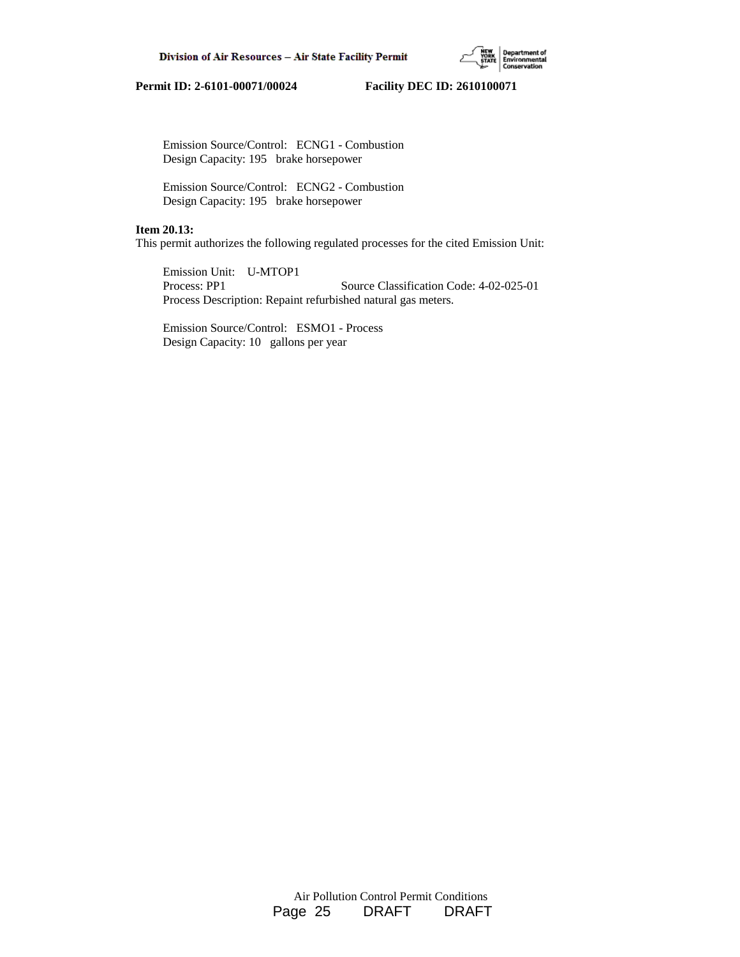

 Emission Source/Control: ECNG1 - Combustion Design Capacity: 195 brake horsepower

 Emission Source/Control: ECNG2 - Combustion Design Capacity: 195 brake horsepower

#### **Item 20.13:**

This permit authorizes the following regulated processes for the cited Emission Unit:

 Emission Unit: U-MTOP1 Process: PP1 Source Classification Code: 4-02-025-01 Process Description: Repaint refurbished natural gas meters.

 Emission Source/Control: ESMO1 - Process Design Capacity: 10 gallons per year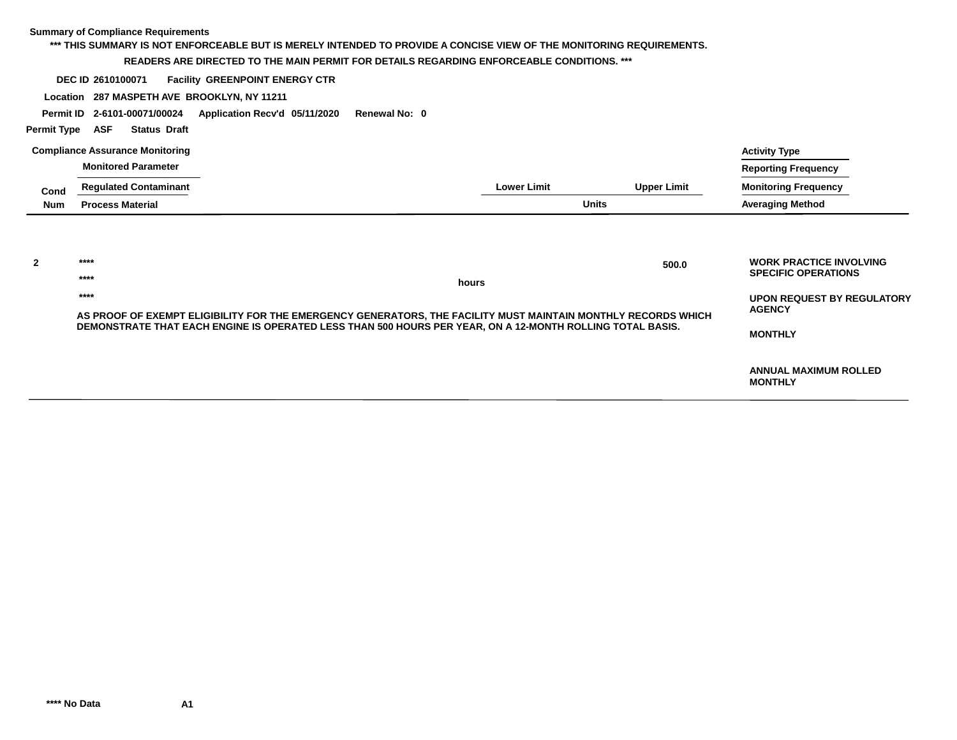| <b>Permit Type</b> | <b>Summary of Compliance Requirements</b><br>DEC ID 2610100071<br>Location 287 MASPETH AVE BROOKLYN, NY 11211<br>Permit ID 2-6101-00071/00024<br>ASF<br><b>Status Draft</b> | *** THIS SUMMARY IS NOT ENFORCEABLE BUT IS MERELY INTENDED TO PROVIDE A CONCISE VIEW OF THE MONITORING REQUIREMENTS.<br>READERS ARE DIRECTED TO THE MAIN PERMIT FOR DETAILS REGARDING ENFORCEABLE CONDITIONS. ***<br><b>Facility GREENPOINT ENERGY CTR</b><br>Application Recv'd 05/11/2020 | Renewal No: 0 |                    |                    |                                                                                                                                      |
|--------------------|-----------------------------------------------------------------------------------------------------------------------------------------------------------------------------|---------------------------------------------------------------------------------------------------------------------------------------------------------------------------------------------------------------------------------------------------------------------------------------------|---------------|--------------------|--------------------|--------------------------------------------------------------------------------------------------------------------------------------|
|                    | <b>Compliance Assurance Monitoring</b>                                                                                                                                      |                                                                                                                                                                                                                                                                                             |               |                    |                    | <b>Activity Type</b>                                                                                                                 |
|                    | <b>Monitored Parameter</b>                                                                                                                                                  |                                                                                                                                                                                                                                                                                             |               |                    |                    | <b>Reporting Frequency</b>                                                                                                           |
| Cond               | <b>Regulated Contaminant</b>                                                                                                                                                |                                                                                                                                                                                                                                                                                             |               | <b>Lower Limit</b> | <b>Upper Limit</b> | <b>Monitoring Frequency</b>                                                                                                          |
| <b>Num</b>         | <b>Process Material</b>                                                                                                                                                     |                                                                                                                                                                                                                                                                                             |               | <b>Units</b>       |                    | <b>Averaging Method</b>                                                                                                              |
| $\overline{2}$     | ****<br>****<br>****                                                                                                                                                        | AS PROOF OF EXEMPT ELIGIBILITY FOR THE EMERGENCY GENERATORS, THE FACILITY MUST MAINTAIN MONTHLY RECORDS WHICH<br>DEMONSTRATE THAT EACH ENGINE IS OPERATED LESS THAN 500 HOURS PER YEAR, ON A 12-MONTH ROLLING TOTAL BASIS.                                                                  | hours         |                    | 500.0              | <b>WORK PRACTICE INVOLVING</b><br><b>SPECIFIC OPERATIONS</b><br><b>UPON REQUEST BY REGULATORY</b><br><b>AGENCY</b><br><b>MONTHLY</b> |
|                    |                                                                                                                                                                             |                                                                                                                                                                                                                                                                                             |               |                    |                    | <b>ANNUAL MAXIMUM ROLLED</b><br><b>MONTHLY</b>                                                                                       |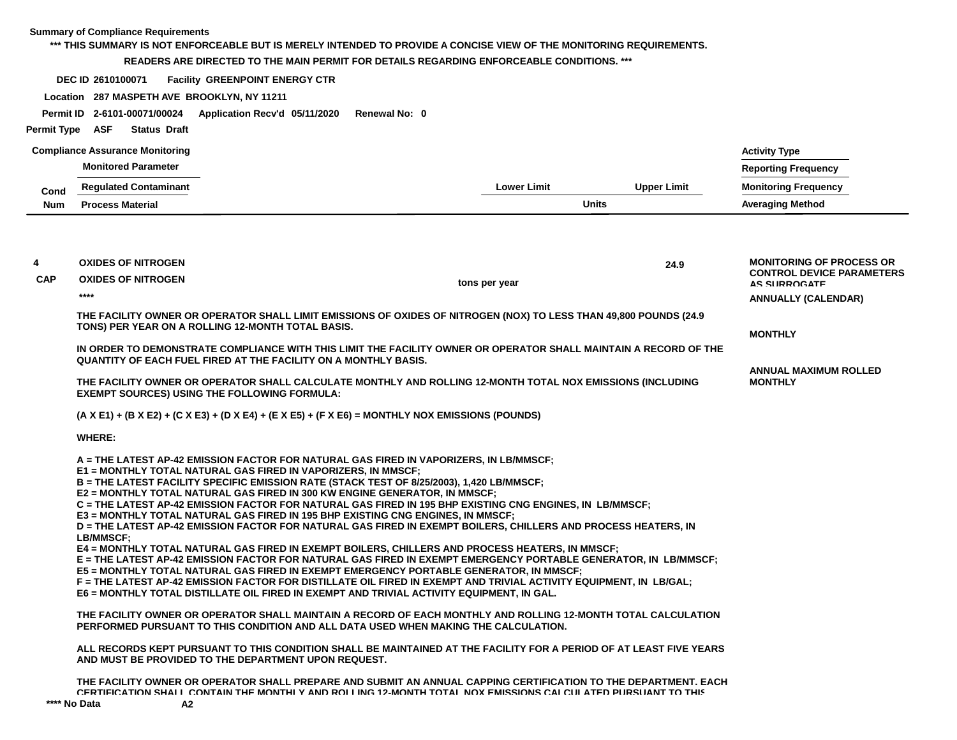#### **\*\*\* THIS SUMMARY IS NOT ENFORCEABLE BUT IS MERELY INTENDED TO PROVIDE A CONCISE VIEW OF THE MONITORING REQUIREMENTS.**

#### **READERS ARE DIRECTED TO THE MAIN PERMIT FOR DETAILS REGARDING ENFORCEABLE CONDITIONS. \*\*\***

**DEC ID Facility GREENPOINT ENERGY CTR 2610100071**

**Location 287 MASPETH AVE BROOKLYN, NY 11211**

**Permit ID 2-6101-00071/00024 Application Recv'd 05/11/2020 Renewal No: 0**

#### **Permit Type ASF Status Draft**

|      | <b>Compliance Assurance Monitoring</b> |                    |                    | <b>Activity Type</b>        |
|------|----------------------------------------|--------------------|--------------------|-----------------------------|
|      | <b>Monitored Parameter</b>             |                    |                    | <b>Reporting Frequency</b>  |
| Cond | <b>Regulated Contaminant</b>           | <b>Lower Limit</b> | <b>Upper Limit</b> | <b>Monitoring Frequency</b> |
| Num  | <b>Process Material</b>                | <b>Units</b>       |                    | <b>Averaging Method</b>     |

| 4          | <b>OXIDES OF NITROGEN</b>                                                                                                                                                                                                                                                                                                                                                                                                                                                                                                                                                                                                                                                                                                                                                                                                                                                                                                                                                                                                                                                                                                                                                                                                                                                                                                                                                                                          |               | 24.9 | <b>MONITORING OF PROCESS OR</b>                         |
|------------|--------------------------------------------------------------------------------------------------------------------------------------------------------------------------------------------------------------------------------------------------------------------------------------------------------------------------------------------------------------------------------------------------------------------------------------------------------------------------------------------------------------------------------------------------------------------------------------------------------------------------------------------------------------------------------------------------------------------------------------------------------------------------------------------------------------------------------------------------------------------------------------------------------------------------------------------------------------------------------------------------------------------------------------------------------------------------------------------------------------------------------------------------------------------------------------------------------------------------------------------------------------------------------------------------------------------------------------------------------------------------------------------------------------------|---------------|------|---------------------------------------------------------|
| <b>CAP</b> | <b>OXIDES OF NITROGEN</b>                                                                                                                                                                                                                                                                                                                                                                                                                                                                                                                                                                                                                                                                                                                                                                                                                                                                                                                                                                                                                                                                                                                                                                                                                                                                                                                                                                                          | tons per year |      | <b>CONTROL DEVICE PARAMETERS</b><br><b>AS SURROGATE</b> |
|            | ****                                                                                                                                                                                                                                                                                                                                                                                                                                                                                                                                                                                                                                                                                                                                                                                                                                                                                                                                                                                                                                                                                                                                                                                                                                                                                                                                                                                                               |               |      | <b>ANNUALLY (CALENDAR)</b>                              |
|            | THE FACILITY OWNER OR OPERATOR SHALL LIMIT EMISSIONS OF OXIDES OF NITROGEN (NOX) TO LESS THAN 49,800 POUNDS (24.9<br>TONS) PER YEAR ON A ROLLING 12-MONTH TOTAL BASIS.                                                                                                                                                                                                                                                                                                                                                                                                                                                                                                                                                                                                                                                                                                                                                                                                                                                                                                                                                                                                                                                                                                                                                                                                                                             |               |      | <b>MONTHLY</b>                                          |
|            | IN ORDER TO DEMONSTRATE COMPLIANCE WITH THIS LIMIT THE FACILITY OWNER OR OPERATOR SHALL MAINTAIN A RECORD OF THE<br>QUANTITY OF EACH FUEL FIRED AT THE FACILITY ON A MONTHLY BASIS.                                                                                                                                                                                                                                                                                                                                                                                                                                                                                                                                                                                                                                                                                                                                                                                                                                                                                                                                                                                                                                                                                                                                                                                                                                |               |      |                                                         |
|            | THE FACILITY OWNER OR OPERATOR SHALL CALCULATE MONTHLY AND ROLLING 12-MONTH TOTAL NOX EMISSIONS (INCLUDING<br><b>EXEMPT SOURCES) USING THE FOLLOWING FORMULA:</b>                                                                                                                                                                                                                                                                                                                                                                                                                                                                                                                                                                                                                                                                                                                                                                                                                                                                                                                                                                                                                                                                                                                                                                                                                                                  |               |      | <b>ANNUAL MAXIMUM ROLLED</b><br><b>MONTHLY</b>          |
|            | $(A \times E1) + (B \times E2) + (C \times E3) + (D \times E4) + (E \times E5) + (F \times E6) = MONTHLY NOX EMISSIONS (POUNDS)$                                                                                                                                                                                                                                                                                                                                                                                                                                                                                                                                                                                                                                                                                                                                                                                                                                                                                                                                                                                                                                                                                                                                                                                                                                                                                   |               |      |                                                         |
|            | <b>WHERE:</b>                                                                                                                                                                                                                                                                                                                                                                                                                                                                                                                                                                                                                                                                                                                                                                                                                                                                                                                                                                                                                                                                                                                                                                                                                                                                                                                                                                                                      |               |      |                                                         |
|            | A = THE LATEST AP-42 EMISSION FACTOR FOR NATURAL GAS FIRED IN VAPORIZERS, IN LB/MMSCF;<br>E1 = MONTHLY TOTAL NATURAL GAS FIRED IN VAPORIZERS, IN MMSCF;<br>B = THE LATEST FACILITY SPECIFIC EMISSION RATE (STACK TEST OF 8/25/2003), 1,420 LB/MMSCF;<br>E2 = MONTHLY TOTAL NATURAL GAS FIRED IN 300 KW ENGINE GENERATOR, IN MMSCF;<br>C = THE LATEST AP-42 EMISSION FACTOR FOR NATURAL GAS FIRED IN 195 BHP EXISTING CNG ENGINES, IN LB/MMSCF;<br>E3 = MONTHLY TOTAL NATURAL GAS FIRED IN 195 BHP EXISTING CNG ENGINES, IN MMSCF;<br>D = THE LATEST AP-42 EMISSION FACTOR FOR NATURAL GAS FIRED IN EXEMPT BOILERS. CHILLERS AND PROCESS HEATERS. IN<br><b>LB/MMSCF:</b><br>E4 = MONTHLY TOTAL NATURAL GAS FIRED IN EXEMPT BOILERS, CHILLERS AND PROCESS HEATERS, IN MMSCF;<br>E = THE LATEST AP-42 EMISSION FACTOR FOR NATURAL GAS FIRED IN EXEMPT EMERGENCY PORTABLE GENERATOR, IN LB/MMSCF;<br>E5 = MONTHLY TOTAL NATURAL GAS FIRED IN EXEMPT EMERGENCY PORTABLE GENERATOR, IN MMSCF;<br>F = THE LATEST AP-42 EMISSION FACTOR FOR DISTILLATE OIL FIRED IN EXEMPT AND TRIVIAL ACTIVITY EQUIPMENT, IN LB/GAL;<br>E6 = MONTHLY TOTAL DISTILLATE OIL FIRED IN EXEMPT AND TRIVIAL ACTIVITY EQUIPMENT, IN GAL.<br>THE FACILITY OWNER OR OPERATOR SHALL MAINTAIN A RECORD OF EACH MONTHLY AND ROLLING 12-MONTH TOTAL CALCULATION<br>PERFORMED PURSUANT TO THIS CONDITION AND ALL DATA USED WHEN MAKING THE CALCULATION. |               |      |                                                         |
|            | ALL RECORDS KEPT PURSUANT TO THIS CONDITION SHALL BE MAINTAINED AT THE FACILITY FOR A PERIOD OF AT LEAST FIVE YEARS<br>AND MUST BE PROVIDED TO THE DEPARTMENT UPON REQUEST.                                                                                                                                                                                                                                                                                                                                                                                                                                                                                                                                                                                                                                                                                                                                                                                                                                                                                                                                                                                                                                                                                                                                                                                                                                        |               |      |                                                         |
|            | THE FACILITY OWNER OR OPERATOR SHALL PREPARE AND SUBMIT AN ANNUAL CAPPING CERTIFICATION TO THE DEPARTMENT. EACH<br>CERTIFICATION SHALL CONTAIN THE MONTHLY AND ROLLING 12-MONTH TOTAL NOX EMISSIONS CALCULATED PHRSHANT TO THIS                                                                                                                                                                                                                                                                                                                                                                                                                                                                                                                                                                                                                                                                                                                                                                                                                                                                                                                                                                                                                                                                                                                                                                                    |               |      |                                                         |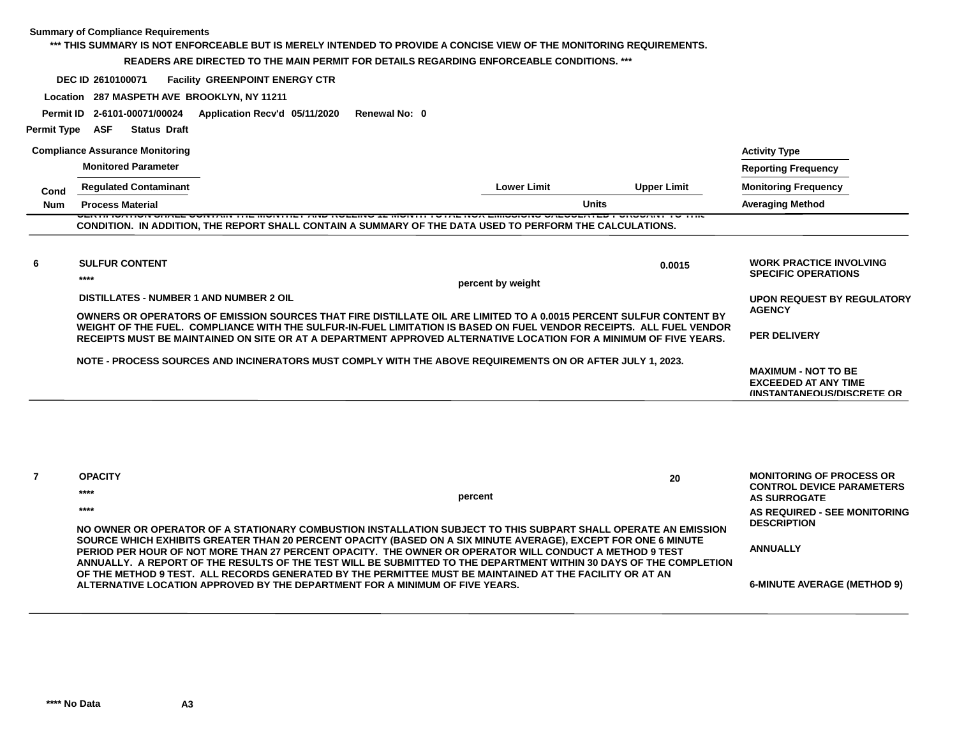#### **\*\*\* THIS SUMMARY IS NOT ENFORCEABLE BUT IS MERELY INTENDED TO PROVIDE A CONCISE VIEW OF THE MONITORING REQUIREMENTS.**

#### **READERS ARE DIRECTED TO THE MAIN PERMIT FOR DETAILS REGARDING ENFORCEABLE CONDITIONS. \*\*\***

**DEC ID Facility GREENPOINT ENERGY CTR 2610100071**

**Location 287 MASPETH AVE BROOKLYN, NY 11211**

**Permit ID 2-6101-00071/00024 Application Recv'd 05/11/2020 Renewal No: 0**

#### **Permit Type ASF Status Draft**

|            | <b>Compliance Assurance Monitoring</b>  |                                                                                                                                                                                                                                          |                    |                    | <b>Activity Type</b>                                                                          |
|------------|-----------------------------------------|------------------------------------------------------------------------------------------------------------------------------------------------------------------------------------------------------------------------------------------|--------------------|--------------------|-----------------------------------------------------------------------------------------------|
|            | <b>Monitored Parameter</b>              |                                                                                                                                                                                                                                          |                    |                    | <b>Reporting Frequency</b>                                                                    |
| Cond       | <b>Regulated Contaminant</b>            |                                                                                                                                                                                                                                          | <b>Lower Limit</b> | <b>Upper Limit</b> | <b>Monitoring Frequency</b>                                                                   |
| <b>Num</b> | <b>Process Material</b>                 |                                                                                                                                                                                                                                          |                    | <b>Units</b>       | <b>Averaging Method</b>                                                                       |
|            |                                         | CONDITION. IN ADDITION, THE REPORT SHALL CONTAIN A SUMMARY OF THE DATA USED TO PERFORM THE CALCULATIONS.                                                                                                                                 |                    |                    |                                                                                               |
| 6          | <b>SULFUR CONTENT</b>                   |                                                                                                                                                                                                                                          |                    | 0.0015             | <b>WORK PRACTICE INVOLVING</b><br><b>SPECIFIC OPERATIONS</b>                                  |
|            | $****$                                  |                                                                                                                                                                                                                                          | percent by weight  |                    |                                                                                               |
|            | DISTILLATES - NUMBER 1 AND NUMBER 2 OIL |                                                                                                                                                                                                                                          |                    |                    | <b>UPON REQUEST BY REGULATORY</b>                                                             |
|            |                                         | OWNERS OR OPERATORS OF EMISSION SOURCES THAT FIRE DISTILLATE OIL ARE LIMITED TO A 0.0015 PERCENT SULFUR CONTENT BY                                                                                                                       |                    |                    | <b>AGENCY</b>                                                                                 |
|            |                                         | WEIGHT OF THE FUEL. COMPLIANCE WITH THE SULFUR-IN-FUEL LIMITATION IS BASED ON FUEL VENDOR RECEIPTS. ALL FUEL VENDOR<br>RECEIPTS MUST BE MAINTAINED ON SITE OR AT A DEPARTMENT APPROVED ALTERNATIVE LOCATION FOR A MINIMUM OF FIVE YEARS. |                    |                    | <b>PER DELIVERY</b>                                                                           |
|            |                                         | NOTE - PROCESS SOURCES AND INCINERATORS MUST COMPLY WITH THE ABOVE REQUIREMENTS ON OR AFTER JULY 1, 2023.                                                                                                                                |                    |                    | <b>MAXIMUM - NOT TO BE</b><br><b>EXCEEDED AT ANY TIME</b><br><b>INSTANTANEOUS/DISCRETE OR</b> |

| <b>OPACITY</b>                                                                                                                                                                                                                                                                                                                                  |         | 20 | <b>MONITORING OF PROCESS OR</b><br><b>CONTROL DEVICE PARAMETERS</b> |
|-------------------------------------------------------------------------------------------------------------------------------------------------------------------------------------------------------------------------------------------------------------------------------------------------------------------------------------------------|---------|----|---------------------------------------------------------------------|
| ****                                                                                                                                                                                                                                                                                                                                            | percent |    | AS SURROGATE                                                        |
| ****<br>NO OWNER OR OPERATOR OF A STATIONARY COMBUSTION INSTALLATION SUBJECT TO THIS SUBPART SHALL OPERATE AN EMISSION                                                                                                                                                                                                                          |         |    | AS REQUIRED - SEE MONITORING<br><b>DESCRIPTION</b>                  |
| SOURCE WHICH EXHIBITS GREATER THAN 20 PERCENT OPACITY (BASED ON A SIX MINUTE AVERAGE), EXCEPT FOR ONE 6 MINUTE<br>PERIOD PER HOUR OF NOT MORE THAN 27 PERCENT OPACITY. THE OWNER OR OPERATOR WILL CONDUCT A METHOD 9 TEST<br>ANNUALLY. A REPORT OF THE RESULTS OF THE TEST WILL BE SUBMITTED TO THE DEPARTMENT WITHIN 30 DAYS OF THE COMPLETION |         |    | <b>ANNUALLY</b>                                                     |
| OF THE METHOD 9 TEST. ALL RECORDS GENERATED BY THE PERMITTEE MUST BE MAINTAINED AT THE FACILITY OR AT AN<br>ALTERNATIVE LOCATION APPROVED BY THE DEPARTMENT FOR A MINIMUM OF FIVE YEARS.                                                                                                                                                        |         |    | <b>6-MINUTE AVERAGE (METHOD 9)</b>                                  |

**\*\*\*\* No Data A3**

**7**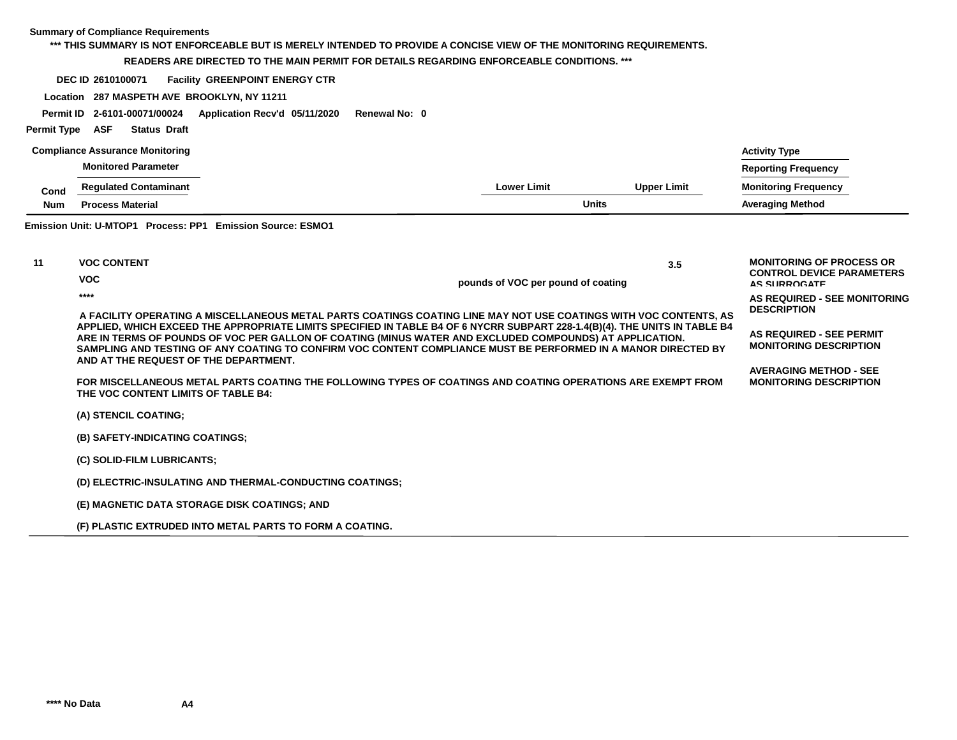#### **\*\*\* THIS SUMMARY IS NOT ENFORCEABLE BUT IS MERELY INTENDED TO PROVIDE A CONCISE VIEW OF THE MONITORING REQUIREMENTS.**

#### **READERS ARE DIRECTED TO THE MAIN PERMIT FOR DETAILS REGARDING ENFORCEABLE CONDITIONS. \*\*\***

**DEC ID Facility GREENPOINT ENERGY CTR 2610100071**

**Location 287 MASPETH AVE BROOKLYN, NY 11211**

**Permit ID 2-6101-00071/00024 Application Recv'd 05/11/2020 Renewal No: 0**

#### **Permit Type ASF Status Draft**

|            | <b>Compliance Assurance Monitoring</b> |                    |                    | <b>Activity Type</b>        |
|------------|----------------------------------------|--------------------|--------------------|-----------------------------|
|            | <b>Monitored Parameter</b>             |                    |                    | <b>Reporting Frequency</b>  |
| Cond       | <b>Regulated Contaminant</b>           | <b>Lower Limit</b> | <b>Upper Limit</b> | <b>Monitoring Frequency</b> |
| <b>Num</b> | <b>Process Material</b>                | <b>Units</b>       |                    | <b>Averaging Method</b>     |
|            |                                        |                    |                    |                             |

#### **Emission Unit: U-MTOP1 Process: PP1 Emission Source: ESMO1**

| 11 | <b>VOC CONTENT</b>                                                                                                                                  | 3.5                                                                                                                                                                                                                                                                                                                                                                                                                                                                           | <b>MONITORING OF PROCESS OR</b>                                |
|----|-----------------------------------------------------------------------------------------------------------------------------------------------------|-------------------------------------------------------------------------------------------------------------------------------------------------------------------------------------------------------------------------------------------------------------------------------------------------------------------------------------------------------------------------------------------------------------------------------------------------------------------------------|----------------------------------------------------------------|
|    | <b>VOC</b>                                                                                                                                          | pounds of VOC per pound of coating                                                                                                                                                                                                                                                                                                                                                                                                                                            | <b>CONTROL DEVICE PARAMETERS</b><br><b>AS SURROGATE</b>        |
|    | ****                                                                                                                                                | A FACILITY OPERATING A MISCELLANEOUS METAL PARTS COATINGS COATING LINE MAY NOT USE COATINGS WITH VOC CONTENTS, AS<br>APPLIED, WHICH EXCEED THE APPROPRIATE LIMITS SPECIFIED IN TABLE B4 OF 6 NYCRR SUBPART 228-1.4(B)(4). THE UNITS IN TABLE B4<br>ARE IN TERMS OF POUNDS OF VOC PER GALLON OF COATING (MINUS WATER AND EXCLUDED COMPOUNDS) AT APPLICATION.<br>SAMPLING AND TESTING OF ANY COATING TO CONFIRM VOC CONTENT COMPLIANCE MUST BE PERFORMED IN A MANOR DIRECTED BY | AS REQUIRED - SEE MONITORING<br><b>DESCRIPTION</b>             |
|    | AND AT THE REQUEST OF THE DEPARTMENT.                                                                                                               |                                                                                                                                                                                                                                                                                                                                                                                                                                                                               | AS REQUIRED - SEE PERMIT<br><b>MONITORING DESCRIPTION</b>      |
|    | FOR MISCELLANEOUS METAL PARTS COATING THE FOLLOWING TYPES OF COATINGS AND COATING OPERATIONS ARE EXEMPT FROM<br>THE VOC CONTENT LIMITS OF TABLE B4: |                                                                                                                                                                                                                                                                                                                                                                                                                                                                               | <b>AVERAGING METHOD - SEE</b><br><b>MONITORING DESCRIPTION</b> |
|    | (A) STENCIL COATING;                                                                                                                                |                                                                                                                                                                                                                                                                                                                                                                                                                                                                               |                                                                |
|    | (B) SAFETY-INDICATING COATINGS;                                                                                                                     |                                                                                                                                                                                                                                                                                                                                                                                                                                                                               |                                                                |
|    | (C) SOLID-FILM LUBRICANTS;                                                                                                                          |                                                                                                                                                                                                                                                                                                                                                                                                                                                                               |                                                                |
|    | (D) ELECTRIC-INSULATING AND THERMAL-CONDUCTING COATINGS;                                                                                            |                                                                                                                                                                                                                                                                                                                                                                                                                                                                               |                                                                |
|    | (E) MAGNETIC DATA STORAGE DISK COATINGS; AND                                                                                                        |                                                                                                                                                                                                                                                                                                                                                                                                                                                                               |                                                                |
|    | (F) PLASTIC EXTRUDED INTO METAL PARTS TO FORM A COATING.                                                                                            |                                                                                                                                                                                                                                                                                                                                                                                                                                                                               |                                                                |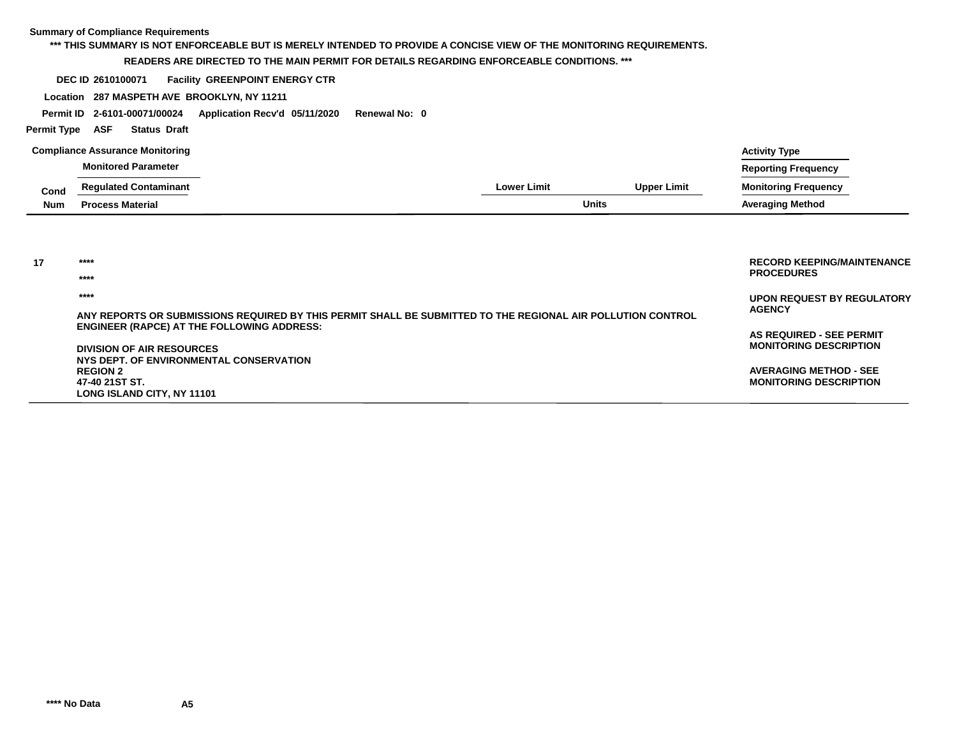#### **Summary of Compliance Requirements Lower LimitCompliance Assurance Monitoring Monitored Parameter Regulated Contaminant Process MaterialCondNumUpper Limit Units Averaging Method Monitoring Frequency Reporting Frequency Activity Type \*\*\* THIS SUMMARY IS NOT ENFORCEABLE BUT IS MERELY INTENDED TO PROVIDE A CONCISE VIEW OF THE MONITORING REQUIREMENTS. READERS ARE DIRECTED TO THE MAIN PERMIT FOR DETAILS REGARDING ENFORCEABLE CONDITIONS. \*\*\*DEC ID Facility GREENPOINT ENERGY CTR Location 287 MASPETH AVE BROOKLYN, NY 11211 2610100071 Permit Type Permit ID 2-6101-00071/00024 Application Recv'd 05/11/2020 Renewal No: 0 ASF Status Draft UPON REQUEST BY REGULATORYAGENCYAS REQUIRED - SEE PERMIT RECORD KEEPING/MAINTENANCEPROCEDURES \*\*\*\*17 \*\*\*\* \*\*\*\*ANY REPORTS OR SUBMISSIONS REQUIRED BY THIS PERMIT SHALL BE SUBMITTED TO THE REGIONAL AIR POLLUTION CONTROLENGINEER (RAPCE) AT THE FOLLOWING ADDRESS:**

**MONITORING DESCRIPTION**

**AVERAGING METHOD - SEE MONITORING DESCRIPTION**

**DIVISION OF AIR RESOURCES NYS DEPT. OF ENVIRONMENTAL CONSERVATIONREGION 247-40 21ST ST.LONG ISLAND CITY, NY 11101**